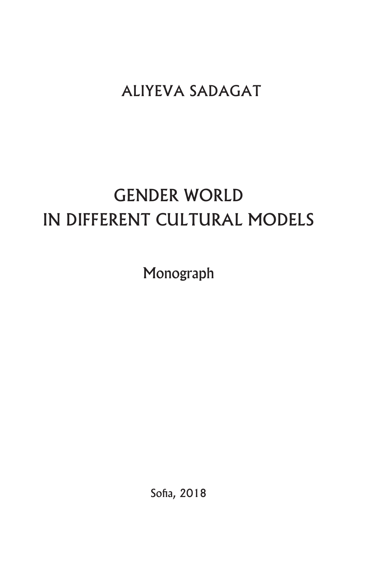## ALIYEVA SADAGAT

# GENDER WORLD IN DIFFERENT CULTURAL MODELS

Monograph

Sofia, 2018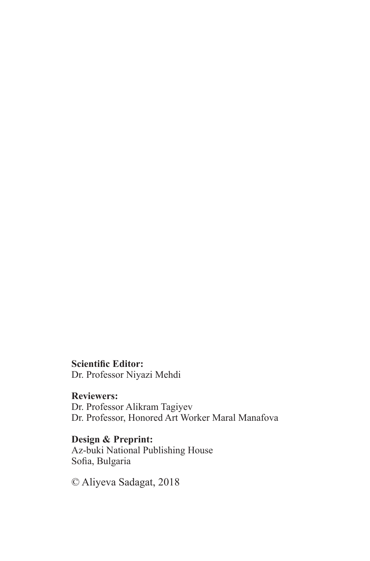**Scientific Editor:** Dr. Professor Niyazi Mehdi

**Reviewers:** Dr. Professor Alikram Tagiyev Dr. Professor, Honored Art Worker Maral Manafova

**Design & Preprint:** Az-buki National Publishing House Sofia, Bulgaria

© Aliyeva Sadagat, 2018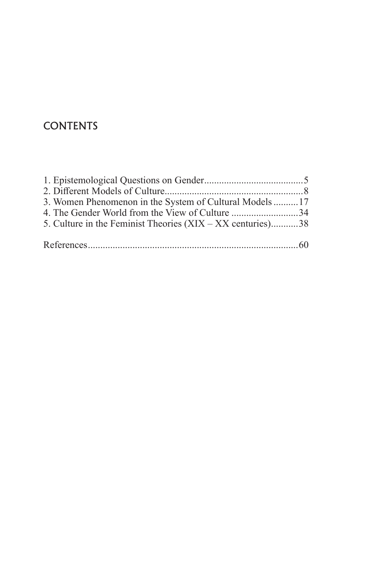#### **CONTENTS**

| 3. Women Phenomenon in the System of Cultural Models17     |  |
|------------------------------------------------------------|--|
| 4. The Gender World from the View of Culture 34            |  |
| 5. Culture in the Feminist Theories (XIX – XX centuries)38 |  |
|                                                            |  |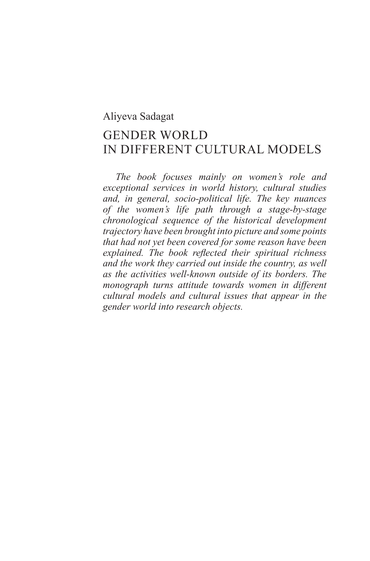#### Aliyeva Sadagat

## GENDER WORLD IN DIFFERENT CULTURAL MODELS

*The book focuses mainly on women's role and exceptional services in world history, cultural studies and, in general, socio-political life. The key nuances of the women's life path through a stage-by-stage chronological sequence of the historical development trajectory have been brought into picture and some points that had not yet been covered for some reason have been explained. The book reflected their spiritual richness and the work they carried out inside the country, as well as the activities well-known outside of its borders. The monograph turns attitude towards women in different cultural models and cultural issues that appear in the gender world into research objects.*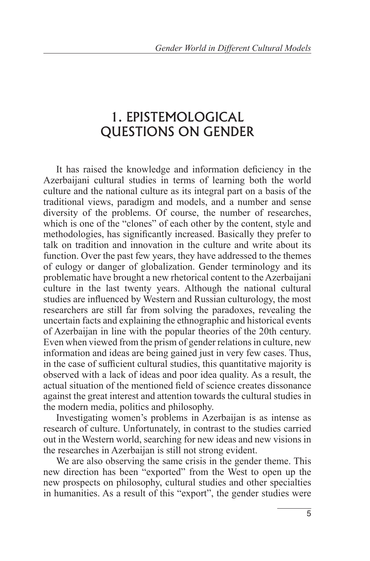## 1. EPISTEMOLOGICAL QUESTIONS ON GENDER

It has raised the knowledge and information deficiency in the Azerbaijani cultural studies in terms of learning both the world culture and the national culture as its integral part on a basis of the traditional views, paradigm and models, and a number and sense diversity of the problems. Of course, the number of researches, which is one of the "clones" of each other by the content, style and methodologies, has significantly increased. Basically they prefer to talk on tradition and innovation in the culture and write about its function. Over the past few years, they have addressed to the themes of eulogy or danger of globalization. Gender terminology and its problematic have brought a new rhetorical content to the Azerbaijani culture in the last twenty years. Although the national cultural studies are influenced by Western and Russian culturology, the most researchers are still far from solving the paradoxes, revealing the uncertain facts and explaining the ethnographic and historical events of Azerbaijan in line with the popular theories of the 20th century. Even when viewed from the prism of gender relations in culture, new information and ideas are being gained just in very few cases. Thus, in the case of sufficient cultural studies, this quantitative majority is observed with a lack of ideas and poor idea quality. As a result, the actual situation of the mentioned field of science creates dissonance against the great interest and attention towards the cultural studies in the modern media, politics and philosophy.

Investigating women's problems in Azerbaijan is as intense as research of culture. Unfortunately, in contrast to the studies carried out in the Western world, searching for new ideas and new visions in the researches in Azerbaijan is still not strong evident.

We are also observing the same crisis in the gender theme. This new direction has been "exported" from the West to open up the new prospects on philosophy, cultural studies and other specialties in humanities. As a result of this "export", the gender studies were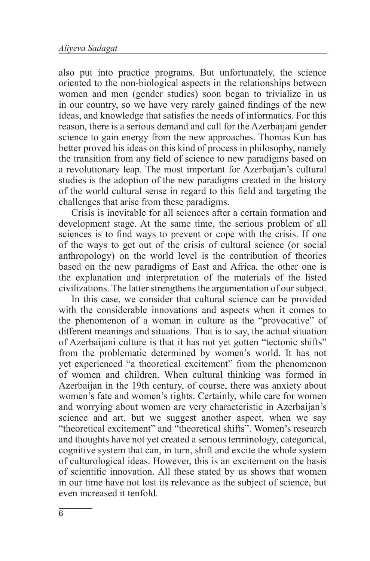also put into practice programs. But unfortunately, the science oriented to the non-biological aspects in the relationships between women and men (gender studies) soon began to trivialize in us in our country, so we have very rarely gained findings of the new ideas, and knowledge that satisfies the needs of informatics. For this reason, there is a serious demand and call for the Azerbaijani gender science to gain energy from the new approaches. Thomas Kun has better proved his ideas on this kind of process in philosophy, namely the transition from any field of science to new paradigms based on a revolutionary leap. The most important for Azerbaijan's cultural studies is the adoption of the new paradigms created in the history of the world cultural sense in regard to this field and targeting the challenges that arise from these paradigms.

Crisis is inevitable for all sciences after a certain formation and development stage. At the same time, the serious problem of all sciences is to find ways to prevent or cope with the crisis. If one of the ways to get out of the crisis of cultural science (or social anthropology) on the world level is the contribution of theories based on the new paradigms of East and Africa, the other one is the explanation and interpretation of the materials of the listed civilizations. The latter strengthens the argumentation of our subject.

In this case, we consider that cultural science can be provided with the considerable innovations and aspects when it comes to the phenomenon of a woman in culture as the "provocative" of different meanings and situations. That is to say, the actual situation of Azerbaijani culture is that it has not yet gotten "tectonic shifts" from the problematic determined by women's world. It has not yet experienced "a theoretical excitement" from the phenomenon of women and children. When cultural thinking was formed in Azerbaijan in the 19th century, of course, there was anxiety about women's fate and women's rights. Certainly, while care for women and worrying about women are very characteristic in Azerbaijan's science and art, but we suggest another aspect, when we say "theoretical excitement" and "theoretical shifts". Women's research and thoughts have not yet created a serious terminology, categorical, cognitive system that can, in turn, shift and excite the whole system of culturological ideas. However, this is an excitement on the basis of scientific innovation. All these stated by us shows that women in our time have not lost its relevance as the subject of science, but even increased it tenfold.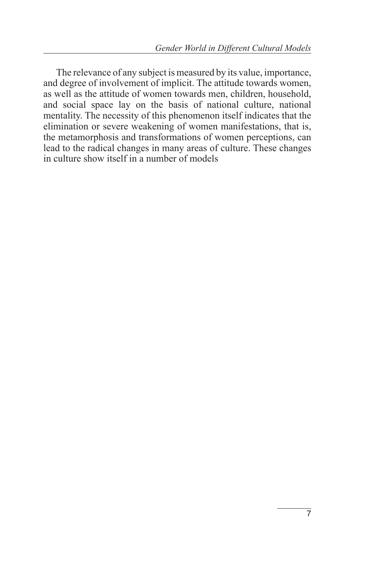The relevance of any subject is measured by its value, importance, and degree of involvement of implicit. The attitude towards women, as well as the attitude of women towards men, children, household, and social space lay on the basis of national culture, national mentality. The necessity of this phenomenon itself indicates that the elimination or severe weakening of women manifestations, that is, the metamorphosis and transformations of women perceptions, can lead to the radical changes in many areas of culture. These changes in culture show itself in a number of models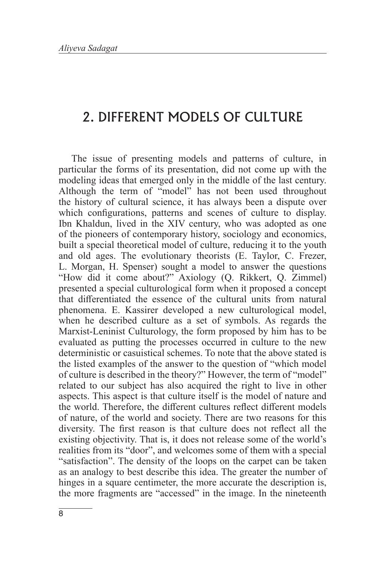#### 2. DIFFERENT MODELS OF CULTURE

The issue of presenting models and patterns of culture, in particular the forms of its presentation, did not come up with the modeling ideas that emerged only in the middle of the last century. Although the term of "model" has not been used throughout the history of cultural science, it has always been a dispute over which configurations, patterns and scenes of culture to display. Ibn Khaldun, lived in the XIV century, who was adopted as one of the pioneers of contemporary history, sociology and economics, built a special theoretical model of culture, reducing it to the youth and old ages. The evolutionary theorists (E. Taylor, C. Frezer, L. Morgan, H. Spenser) sought a model to answer the questions "How did it come about?" Axiology (Q. Rikkert, Q. Zimmel) presented a special culturological form when it proposed a concept that differentiated the essence of the cultural units from natural phenomena. E. Kassirer developed a new culturological model, when he described culture as a set of symbols. As regards the Marxist-Leninist Culturology, the form proposed by him has to be evaluated as putting the processes occurred in culture to the new deterministic or casuistical schemes. To note that the above stated is the listed examples of the answer to the question of "which model of culture is described in the theory?" However, the term of "model" related to our subject has also acquired the right to live in other aspects. This aspect is that culture itself is the model of nature and the world. Therefore, the different cultures reflect different models of nature, of the world and society. There are two reasons for this diversity. The first reason is that culture does not reflect all the existing objectivity. That is, it does not release some of the world's realities from its "door", and welcomes some of them with a special "satisfaction". The density of the loops on the carpet can be taken as an analogy to best describe this idea. The greater the number of hinges in a square centimeter, the more accurate the description is, the more fragments are "accessed" in the image. In the nineteenth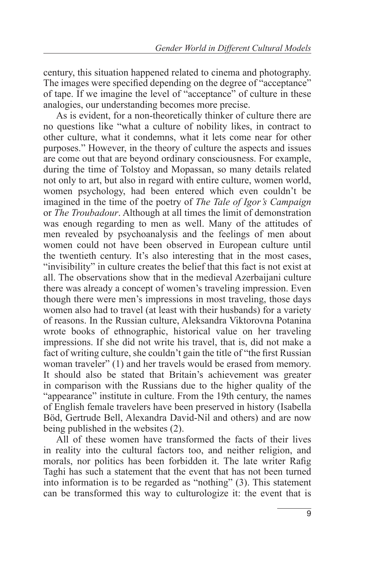century, this situation happened related to cinema and photography. The images were specified depending on the degree of "acceptance" of tape. If we imagine the level of "acceptance" of culture in these analogies, our understanding becomes more precise.

As is evident, for a non-theoretically thinker of culture there are no questions like "what a culture of nobility likes, in contract to other culture, what it condemns, what it lets come near for other purposes." However, in the theory of culture the aspects and issues are come out that are beyond ordinary consciousness. For example, during the time of Tolstoy and Mopassan, so many details related not only to art, but also in regard with entire culture, women world, women psychology, had been entered which even couldn't be imagined in the time of the poetry of *The Tale of Igor's Campaign* or *The Troubadour*. Although at all times the limit of demonstration was enough regarding to men as well. Many of the attitudes of men revealed by psychoanalysis and the feelings of men about women could not have been observed in European culture until the twentieth century. It's also interesting that in the most cases, "invisibility" in culture creates the belief that this fact is not exist at all. The observations show that in the medieval Azerbaijani culture there was already a concept of women's traveling impression. Even though there were men's impressions in most traveling, those days women also had to travel (at least with their husbands) for a variety of reasons. In the Russian culture, Aleksandra Viktorovna Potanina wrote books of ethnographic, historical value on her traveling impressions. If she did not write his travel, that is, did not make a fact of writing culture, she couldn't gain the title of "the first Russian woman traveler" (1) and her travels would be erased from memory. It should also be stated that Britain's achievement was greater in comparison with the Russians due to the higher quality of the "appearance" institute in culture. From the 19th century, the names of English female travelers have been preserved in history (Isabella Böd, Gertrude Bell, Alexandra David-Nil and others) and are now being published in the websites (2).

All of these women have transformed the facts of their lives in reality into the cultural factors too, and neither religion, and morals, nor politics has been forbidden it. The late writer Rafig Taghi has such a statement that the event that has not been turned into information is to be regarded as "nothing" (3). This statement can be transformed this way to culturologize it: the event that is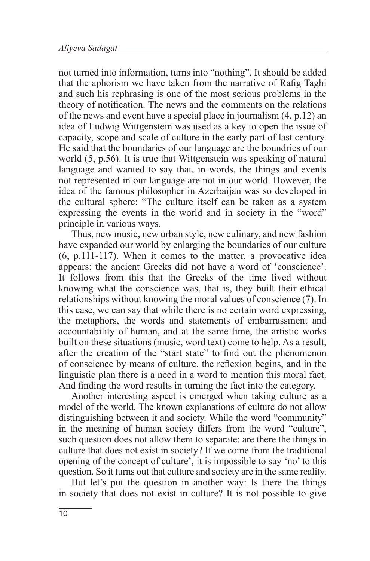not turned into information, turns into "nothing". It should be added that the aphorism we have taken from the narrative of Rafig Taghi and such his rephrasing is one of the most serious problems in the theory of notification. The news and the comments on the relations of the news and event have a special place in journalism (4, p.12) an idea of Ludwig Wittgenstein was used as a key to open the issue of capacity, scope and scale of culture in the early part of last century. He said that the boundaries of our language are the boundries of our world (5, p.56). It is true that Wittgenstein was speaking of natural language and wanted to say that, in words, the things and events not represented in our language are not in our world. However, the idea of the famous philosopher in Azerbaijan was so developed in the cultural sphere: "The culture itself can be taken as a system expressing the events in the world and in society in the "word" principle in various ways.

Thus, new music, new urban style, new culinary, and new fashion have expanded our world by enlarging the boundaries of our culture (6, p.111-117). When it comes to the matter, a provocative idea appears: the ancient Greeks did not have a word of 'conscience'. It follows from this that the Greeks of the time lived without knowing what the conscience was, that is, they built their ethical relationships without knowing the moral values of conscience (7). In this case, we can say that while there is no certain word expressing, the metaphors, the words and statements of embarrassment and accountability of human, and at the same time, the artistic works built on these situations (music, word text) come to help. As a result, after the creation of the "start state" to find out the phenomenon of conscience by means of culture, the reflexion begins, and in the linguistic plan there is a need in a word to mention this moral fact. And finding the word results in turning the fact into the category.

Another interesting aspect is emerged when taking culture as a model of the world. The known explanations of culture do not allow distinguishing between it and society. While the word "community" in the meaning of human society differs from the word "culture", such question does not allow them to separate: are there the things in culture that does not exist in society? If we come from the traditional opening of the concept of culture', it is impossible to say 'no' to this question. So it turns out that culture and society are in the same reality.

But let's put the question in another way: Is there the things in society that does not exist in culture? It is not possible to give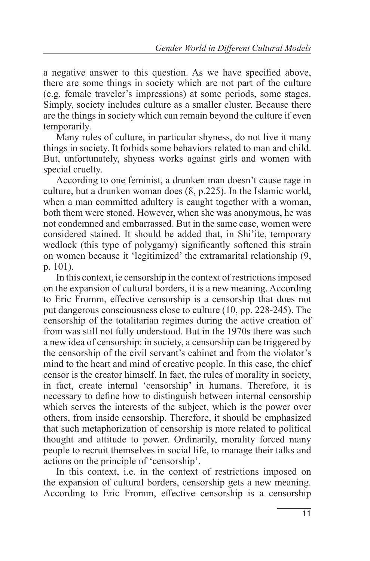a negative answer to this question. As we have specified above, there are some things in society which are not part of the culture (e.g. female traveler's impressions) at some periods, some stages. Simply, society includes culture as a smaller cluster. Because there are the things in society which can remain beyond the culture if even temporarily.

Many rules of culture, in particular shyness, do not live it many things in society. It forbids some behaviors related to man and child. But, unfortunately, shyness works against girls and women with special cruelty.

According to one feminist, a drunken man doesn't cause rage in culture, but a drunken woman does (8, p.225). In the Islamic world, when a man committed adultery is caught together with a woman, both them were stoned. However, when she was anonymous, he was not condemned and embarrassed. But in the same case, women were considered stained. It should be added that, in Shi'ite, temporary wedlock (this type of polygamy) significantly softened this strain on women because it 'legitimized' the extramarital relationship (9, p. 101).

In this context, ie censorship in the context of restrictions imposed on the expansion of cultural borders, it is a new meaning. According to Eric Fromm, effective censorship is a censorship that does not put dangerous consciousness close to culture (10, pp. 228-245). The censorship of the totalitarian regimes during the active creation of from was still not fully understood. But in the 1970s there was such a new idea of censorship: in society, a censorship can be triggered by the censorship of the civil servant's cabinet and from the violator's mind to the heart and mind of creative people. In this case, the chief censor is the creator himself. In fact, the rules of morality in society, in fact, create internal 'censorship' in humans. Therefore, it is necessary to define how to distinguish between internal censorship which serves the interests of the subject, which is the power over others, from inside censorship. Therefore, it should be emphasized that such metaphorization of censorship is more related to political thought and attitude to power. Ordinarily, morality forced many people to recruit themselves in social life, to manage their talks and actions on the principle of 'censorship'.

In this context, i.e. in the context of restrictions imposed on the expansion of cultural borders, censorship gets a new meaning. According to Eric Fromm, effective censorship is a censorship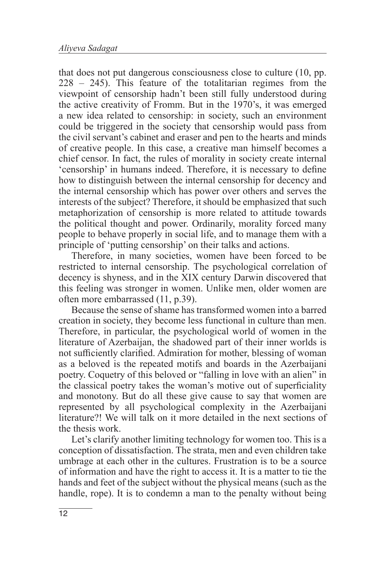that does not put dangerous consciousness close to culture (10, pp. 228 – 245). This feature of the totalitarian regimes from the viewpoint of censorship hadn't been still fully understood during the active creativity of Fromm. But in the 1970's, it was emerged a new idea related to censorship: in society, such an environment could be triggered in the society that censorship would pass from the civil servant's cabinet and eraser and pen to the hearts and minds of creative people. In this case, a creative man himself becomes a chief censor. In fact, the rules of morality in society create internal 'censorship' in humans indeed. Therefore, it is necessary to define how to distinguish between the internal censorship for decency and the internal censorship which has power over others and serves the interests of the subject? Therefore, it should be emphasized that such metaphorization of censorship is more related to attitude towards the political thought and power. Ordinarily, morality forced many people to behave properly in social life, and to manage them with a principle of 'putting censorship' on their talks and actions.

Therefore, in many societies, women have been forced to be restricted to internal censorship. The psychological correlation of decency is shyness, and in the XIX century Darwin discovered that this feeling was stronger in women. Unlike men, older women are often more embarrassed (11, p.39).

Because the sense of shame has transformed women into a barred creation in society, they become less functional in culture than men. Therefore, in particular, the psychological world of women in the literature of Azerbaijan, the shadowed part of their inner worlds is not sufficiently clarified. Admiration for mother, blessing of woman as a beloved is the repeated motifs and boards in the Azerbaijani poetry. Coquetry of this beloved or "falling in love with an alien" in the classical poetry takes the woman's motive out of superficiality and monotony. But do all these give cause to say that women are represented by all psychological complexity in the Azerbaijani literature?! We will talk on it more detailed in the next sections of the thesis work.

Let's clarify another limiting technology for women too. This is a conception of dissatisfaction. The strata, men and even children take umbrage at each other in the cultures. Frustration is to be a source of information and have the right to access it. It is a matter to tie the hands and feet of the subject without the physical means (such as the handle, rope). It is to condemn a man to the penalty without being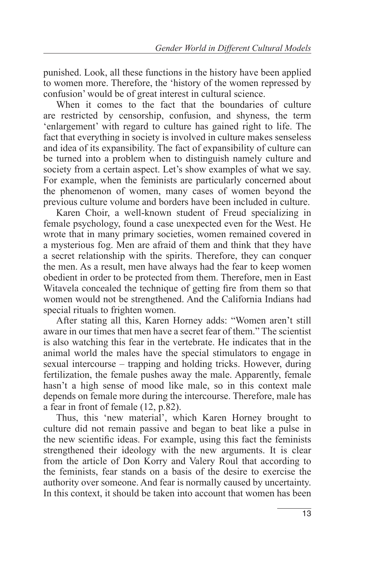punished. Look, all these functions in the history have been applied to women more. Therefore, the 'history of the women repressed by confusion' would be of great interest in cultural science.

When it comes to the fact that the boundaries of culture are restricted by censorship, confusion, and shyness, the term 'enlargement' with regard to culture has gained right to life. The fact that everything in society is involved in culture makes senseless and idea of its expansibility. The fact of expansibility of culture can be turned into a problem when to distinguish namely culture and society from a certain aspect. Let's show examples of what we say. For example, when the feminists are particularly concerned about the phenomenon of women, many cases of women beyond the previous culture volume and borders have been included in culture.

Karen Choir, a well-known student of Freud specializing in female psychology, found a case unexpected even for the West. He wrote that in many primary societies, women remained covered in a mysterious fog. Men are afraid of them and think that they have a secret relationship with the spirits. Therefore, they can conquer the men. As a result, men have always had the fear to keep women obedient in order to be protected from them. Therefore, men in East Witavela concealed the technique of getting fire from them so that women would not be strengthened. And the California Indians had special rituals to frighten women.

After stating all this, Karen Horney adds: "Women aren't still aware in our times that men have a secret fear of them." The scientist is also watching this fear in the vertebrate. He indicates that in the animal world the males have the special stimulators to engage in sexual intercourse – trapping and holding tricks. However, during fertilization, the female pushes away the male. Apparently, female hasn't a high sense of mood like male, so in this context male depends on female more during the intercourse. Therefore, male has a fear in front of female (12, p.82).

Thus, this 'new material', which Karen Horney brought to culture did not remain passive and began to beat like a pulse in the new scientific ideas. For example, using this fact the feminists strengthened their ideology with the new arguments. It is clear from the article of Don Korry and Valery Roul that according to the feminists, fear stands on a basis of the desire to exercise the authority over someone. And fear is normally caused by uncertainty. In this context, it should be taken into account that women has been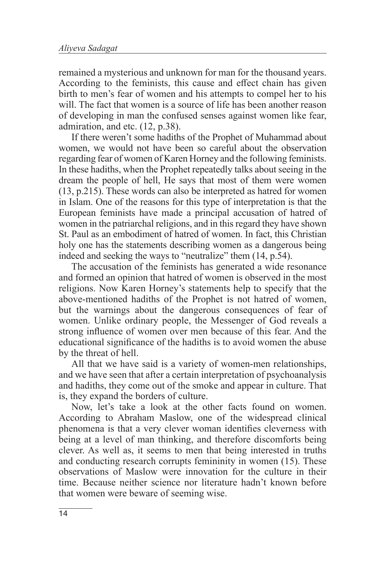remained a mysterious and unknown for man for the thousand years. According to the feminists, this cause and effect chain has given birth to men's fear of women and his attempts to compel her to his will. The fact that women is a source of life has been another reason of developing in man the confused senses against women like fear, admiration, and etc. (12, p.38).

If there weren't some hadiths of the Prophet of Muhammad about women, we would not have been so careful about the observation regarding fear of women of Karen Horney and the following feminists. In these hadiths, when the Prophet repeatedly talks about seeing in the dream the people of hell, He says that most of them were women (13, p.215). These words can also be interpreted as hatred for women in Islam. One of the reasons for this type of interpretation is that the European feminists have made a principal accusation of hatred of women in the patriarchal religions, and in this regard they have shown St. Paul as an embodiment of hatred of women. In fact, this Christian holy one has the statements describing women as a dangerous being indeed and seeking the ways to "neutralize" them (14, p.54).

The accusation of the feminists has generated a wide resonance and formed an opinion that hatred of women is observed in the most religions. Now Karen Horney's statements help to specify that the above-mentioned hadiths of the Prophet is not hatred of women, but the warnings about the dangerous consequences of fear of women. Unlike ordinary people, the Messenger of God reveals a strong influence of women over men because of this fear. And the educational significance of the hadiths is to avoid women the abuse by the threat of hell.

All that we have said is a variety of women-men relationships, and we have seen that after a certain interpretation of psychoanalysis and hadiths, they come out of the smoke and appear in culture. That is, they expand the borders of culture.

Now, let's take a look at the other facts found on women. According to Abraham Maslow, one of the widespread clinical phenomena is that a very clever woman identifies cleverness with being at a level of man thinking, and therefore discomforts being clever. As well as, it seems to men that being interested in truths and conducting research corrupts femininity in women (15). These observations of Maslow were innovation for the culture in their time. Because neither science nor literature hadn't known before that women were beware of seeming wise.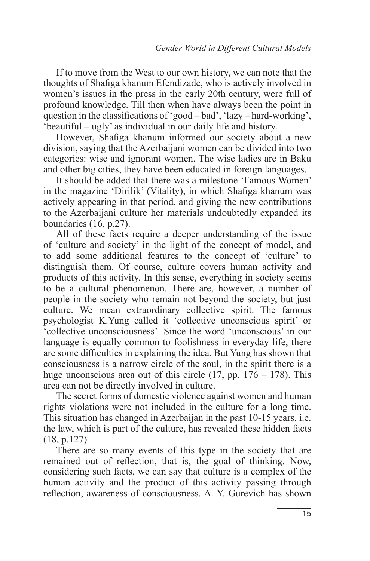If to move from the West to our own history, we can note that the thoughts of Shafiga khanum Efendizade, who is actively involved in women's issues in the press in the early 20th century, were full of profound knowledge. Till then when have always been the point in question in the classifications of 'good – bad', 'lazy – hard-working', 'beautiful – ugly' as individual in our daily life and history.

However, Shafiga khanum informed our society about a new division, saying that the Azerbaijani women can be divided into two categories: wise and ignorant women. The wise ladies are in Baku and other big cities, they have been educated in foreign languages.

It should be added that there was a milestone 'Famous Women' in the magazine 'Dirilik' (Vitality), in which Shafiga khanum was actively appearing in that period, and giving the new contributions to the Azerbaijani culture her materials undoubtedly expanded its boundaries (16, p.27).

All of these facts require a deeper understanding of the issue of 'culture and society' in the light of the concept of model, and to add some additional features to the concept of 'culture' to distinguish them. Of course, culture covers human activity and products of this activity. In this sense, everything in society seems to be a cultural phenomenon. There are, however, a number of people in the society who remain not beyond the society, but just culture. We mean extraordinary collective spirit. The famous psychologist K.Yung called it 'collective unconscious spirit' or 'collective unconsciousness'. Since the word 'unconscious' in our language is equally common to foolishness in everyday life, there are some difficulties in explaining the idea. But Yung has shown that consciousness is a narrow circle of the soul, in the spirit there is a huge unconscious area out of this circle (17, pp.  $176 - 178$ ). This area can not be directly involved in culture.

The secret forms of domestic violence against women and human rights violations were not included in the culture for a long time. This situation has changed in Azerbaijan in the past 10-15 years, i.e. the law, which is part of the culture, has revealed these hidden facts (18, p.127)

There are so many events of this type in the society that are remained out of reflection, that is, the goal of thinking. Now, considering such facts, we can say that culture is a complex of the human activity and the product of this activity passing through reflection, awareness of consciousness. A. Y. Gurevich has shown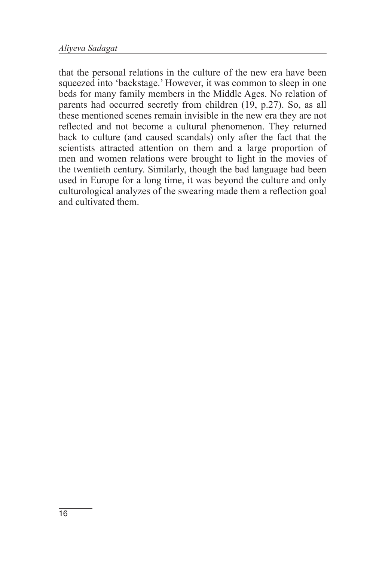that the personal relations in the culture of the new era have been squeezed into 'backstage.' However, it was common to sleep in one beds for many family members in the Middle Ages. No relation of parents had occurred secretly from children (19, p.27). So, as all these mentioned scenes remain invisible in the new era they are not reflected and not become a cultural phenomenon. They returned back to culture (and caused scandals) only after the fact that the scientists attracted attention on them and a large proportion of men and women relations were brought to light in the movies of the twentieth century. Similarly, though the bad language had been used in Europe for a long time, it was beyond the culture and only culturological analyzes of the swearing made them a reflection goal and cultivated them.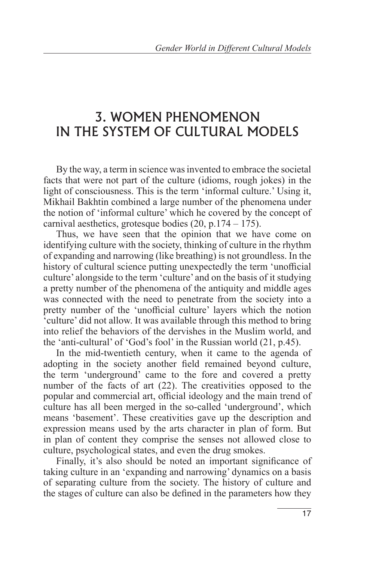#### 3. WOMEN PHENOMENON IN THE SYSTEM OF CULTURAL MODELS

By the way, a term in science was invented to embrace the societal facts that were not part of the culture (idioms, rough jokes) in the light of consciousness. This is the term 'informal culture.' Using it, Mikhail Bakhtin combined a large number of the phenomena under the notion of 'informal culture' which he covered by the concept of carnival aesthetics, grotesque bodies (20, p.174 – 175).

Thus, we have seen that the opinion that we have come on identifying culture with the society, thinking of culture in the rhythm of expanding and narrowing (like breathing) is not groundless. In the history of cultural science putting unexpectedly the term 'unofficial culture' alongside to the term 'culture' and on the basis of it studying a pretty number of the phenomena of the antiquity and middle ages was connected with the need to penetrate from the society into a pretty number of the 'unofficial culture' layers which the notion 'culture' did not allow. It was available through this method to bring into relief the behaviors of the dervishes in the Muslim world, and the 'anti-cultural' of 'God's fool' in the Russian world (21, p.45).

In the mid-twentieth century, when it came to the agenda of adopting in the society another field remained beyond culture, the term 'underground' came to the fore and covered a pretty number of the facts of art (22). The creativities opposed to the popular and commercial art, official ideology and the main trend of culture has all been merged in the so-called 'underground', which means 'basement'. These creativities gave up the description and expression means used by the arts character in plan of form. But in plan of content they comprise the senses not allowed close to culture, psychological states, and even the drug smokes.

Finally, it's also should be noted an important significance of taking culture in an 'expanding and narrowing' dynamics on a basis of separating culture from the society. The history of culture and the stages of culture can also be defined in the parameters how they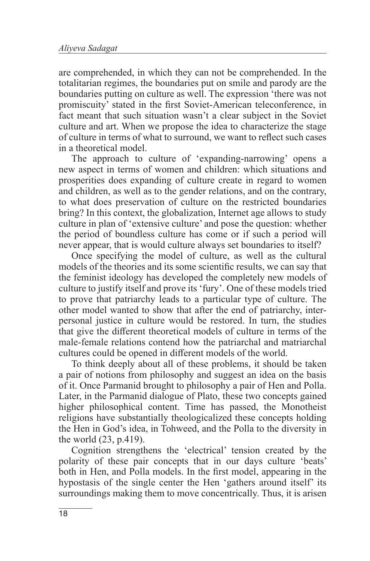are comprehended, in which they can not be comprehended. In the totalitarian regimes, the boundaries put on smile and parody are the boundaries putting on culture as well. The expression 'there was not promiscuity' stated in the first Soviet-American teleconference, in fact meant that such situation wasn't a clear subject in the Soviet culture and art. When we propose the idea to characterize the stage of culture in terms of what to surround, we want to reflect such cases in a theoretical model.

The approach to culture of 'expanding-narrowing' opens a new aspect in terms of women and children: which situations and prosperities does expanding of culture create in regard to women and children, as well as to the gender relations, and on the contrary, to what does preservation of culture on the restricted boundaries bring? In this context, the globalization, Internet age allows to study culture in plan of 'extensive culture' and pose the question: whether the period of boundless culture has come or if such a period will never appear, that is would culture always set boundaries to itself?

Once specifying the model of culture, as well as the cultural models of the theories and its some scientific results, we can say that the feminist ideology has developed the completely new models of culture to justify itself and prove its 'fury'. One of these models tried to prove that patriarchy leads to a particular type of culture. The other model wanted to show that after the end of patriarchy, interpersonal justice in culture would be restored. In turn, the studies that give the different theoretical models of culture in terms of the male-female relations contend how the patriarchal and matriarchal cultures could be opened in different models of the world.

To think deeply about all of these problems, it should be taken a pair of notions from philosophy and suggest an idea on the basis of it. Once Parmanid brought to philosophy a pair of Hen and Polla. Later, in the Parmanid dialogue of Plato, these two concepts gained higher philosophical content. Time has passed, the Monotheist religions have substantially theologicalized these concepts holding the Hen in God's idea, in Tohweed, and the Polla to the diversity in the world (23, p.419).

Cognition strengthens the 'electrical' tension created by the polarity of these pair concepts that in our days culture 'beats' both in Hen, and Polla models. In the first model, appearing in the hypostasis of the single center the Hen 'gathers around itself' its surroundings making them to move concentrically. Thus, it is arisen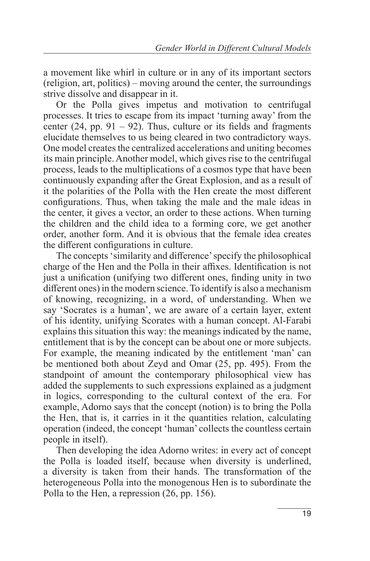a movement like whirl in culture or in any of its important sectors (religion, art, politics) – moving around the center, the surroundings strive dissolve and disappear in it.

Or the Polla gives impetus and motivation to centrifugal processes. It tries to escape from its impact 'turning away' from the center  $(24, pp. 91 - 92)$ . Thus, culture or its fields and fragments elucidate themselves to us being cleared in two contradictory ways. One model creates the centralized accelerations and uniting becomes its main principle. Another model, which gives rise to the centrifugal process, leads to the multiplications of a cosmos type that have been continuously expanding after the Great Explosion, and as a result of it the polarities of the Polla with the Hen create the most different configurations. Thus, when taking the male and the male ideas in the center, it gives a vector, an order to these actions. When turning the children and the child idea to a forming core, we get another order, another form. And it is obvious that the female idea creates the different configurations in culture.

The concepts 'similarity and difference' specify the philosophical charge of the Hen and the Polla in their affixes. Identification is not just a unification (unifying two different ones, finding unity in two different ones) in the modern science. To identify is also a mechanism of knowing, recognizing, in a word, of understanding. When we say 'Socrates is a human', we are aware of a certain layer, extent of his identity, unifying Scorates with a human concept. Al-Farabi explains this situation this way: the meanings indicated by the name, entitlement that is by the concept can be about one or more subjects. For example, the meaning indicated by the entitlement 'man' can be mentioned both about Zeyd and Omar (25, pp. 495). From the standpoint of amount the contemporary philosophical view has added the supplements to such expressions explained as a judgment in logics, corresponding to the cultural context of the era. For example, Adorno says that the concept (notion) is to bring the Polla the Hen, that is, it carries in it the quantities relation, calculating operation (indeed, the concept 'human' collects the countless certain people in itself).

Then developing the idea Adorno writes: in every act of concept the Polla is loaded itself, because when diversity is underlined, a diversity is taken from their hands. The transformation of the heterogeneous Polla into the monogenous Hen is to subordinate the Polla to the Hen, a repression (26, pp. 156).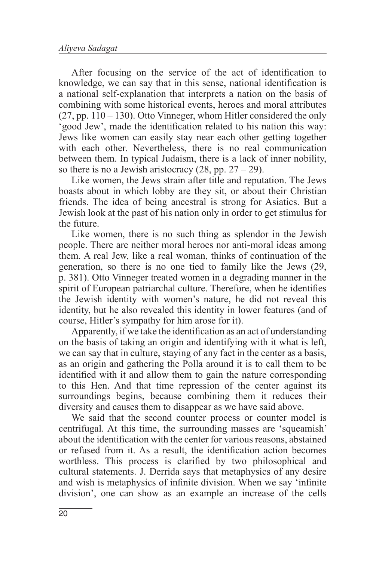After focusing on the service of the act of identification to knowledge, we can say that in this sense, national identification is a national self-explanation that interprets a nation on the basis of combining with some historical events, heroes and moral attributes  $(27, pp. 110 - 130)$ . Otto Vinneger, whom Hitler considered the only 'good Jew', made the identification related to his nation this way: Jews like women can easily stay near each other getting together with each other. Nevertheless, there is no real communication between them. In typical Judaism, there is a lack of inner nobility, so there is no a Jewish aristocracy  $(28, pp. 27 – 29)$ .

Like women, the Jews strain after title and reputation. The Jews boasts about in which lobby are they sit, or about their Christian friends. The idea of being ancestral is strong for Asiatics. But a Jewish look at the past of his nation only in order to get stimulus for the future.

Like women, there is no such thing as splendor in the Jewish people. There are neither moral heroes nor anti-moral ideas among them. A real Jew, like a real woman, thinks of continuation of the generation, so there is no one tied to family like the Jews (29, p. 381). Otto Vinneger treated women in a degrading manner in the spirit of European patriarchal culture. Therefore, when he identifies the Jewish identity with women's nature, he did not reveal this identity, but he also revealed this identity in lower features (and of course, Hitler's sympathy for him arose for it).

Apparently, if we take the identification as an act of understanding on the basis of taking an origin and identifying with it what is left, we can say that in culture, staying of any fact in the center as a basis, as an origin and gathering the Polla around it is to call them to be identified with it and allow them to gain the nature corresponding to this Hen. And that time repression of the center against its surroundings begins, because combining them it reduces their diversity and causes them to disappear as we have said above.

We said that the second counter process or counter model is centrifugal. At this time, the surrounding masses are 'squeamish' about the identification with the center for various reasons, abstained or refused from it. As a result, the identification action becomes worthless. This process is clarified by two philosophical and cultural statements. J. Derrida says that metaphysics of any desire and wish is metaphysics of infinite division. When we say 'infinite division', one can show as an example an increase of the cells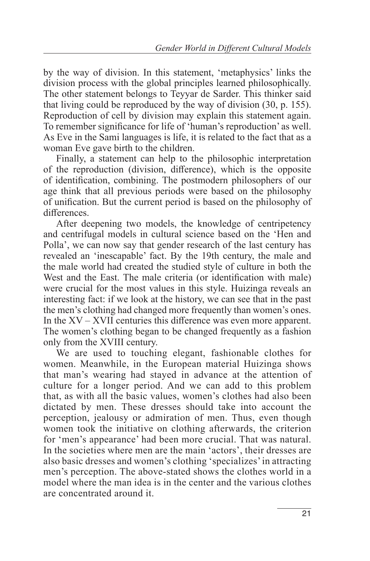by the way of division. In this statement, 'metaphysics' links the division process with the global principles learned philosophically. The other statement belongs to Teyyar de Sarder. This thinker said that living could be reproduced by the way of division (30, p. 155). Reproduction of cell by division may explain this statement again. To remember significance for life of 'human's reproduction' as well. As Eve in the Sami languages is life, it is related to the fact that as a woman Eve gave birth to the children.

Finally, a statement can help to the philosophic interpretation of the reproduction (division, difference), which is the opposite of identification, combining. The postmodern philosophers of our age think that all previous periods were based on the philosophy of unification. But the current period is based on the philosophy of differences.

After deepening two models, the knowledge of centripetency and centrifugal models in cultural science based on the 'Hen and Polla', we can now say that gender research of the last century has revealed an 'inescapable' fact. By the 19th century, the male and the male world had created the studied style of culture in both the West and the East. The male criteria (or identification with male) were crucial for the most values in this style. Huizinga reveals an interesting fact: if we look at the history, we can see that in the past the men's clothing had changed more frequently than women's ones. In the XV – XVII centuries this difference was even more apparent. The women's clothing began to be changed frequently as a fashion only from the XVIII century.

We are used to touching elegant, fashionable clothes for women. Meanwhile, in the European material Huizinga shows that man's wearing had stayed in advance at the attention of culture for a longer period. And we can add to this problem that, as with all the basic values, women's clothes had also been dictated by men. These dresses should take into account the perception, jealousy or admiration of men. Thus, even though women took the initiative on clothing afterwards, the criterion for 'men's appearance' had been more crucial. That was natural. In the societies where men are the main 'actors', their dresses are also basic dresses and women's clothing 'specializes' in attracting men's perception. The above-stated shows the clothes world in a model where the man idea is in the center and the various clothes are concentrated around it.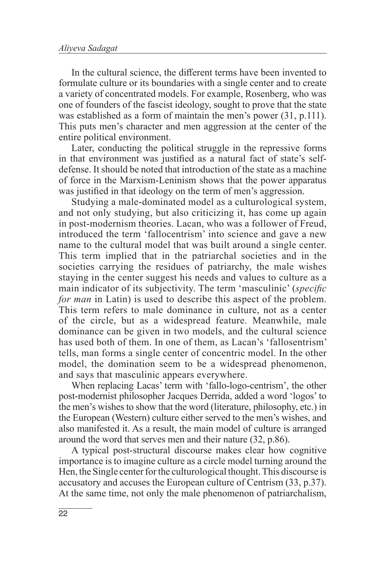In the cultural science, the different terms have been invented to formulate culture or its boundaries with a single center and to create a variety of concentrated models. For example, Rosenberg, who was one of founders of the fascist ideology, sought to prove that the state was established as a form of maintain the men's power (31, p.111). This puts men's character and men aggression at the center of the entire political environment.

Later, conducting the political struggle in the repressive forms in that environment was justified as a natural fact of state's selfdefense. It should be noted that introduction of the state as a machine of force in the Marxism-Leninism shows that the power apparatus was justified in that ideology on the term of men's aggression.

Studying a male-dominated model as a culturological system, and not only studying, but also criticizing it, has come up again in post-modernism theories. Lacan, who was a follower of Freud, introduced the term 'fallocentrism' into science and gave a new name to the cultural model that was built around a single center. This term implied that in the patriarchal societies and in the societies carrying the residues of patriarchy, the male wishes staying in the center suggest his needs and values to culture as a main indicator of its subjectivity. The term 'masculinic' (*specific for man* in Latin) is used to describe this aspect of the problem. This term refers to male dominance in culture, not as a center of the circle, but as a widespread feature. Meanwhile, male dominance can be given in two models, and the cultural science has used both of them. In one of them, as Lacan's 'fallosentrism' tells, man forms a single center of concentric model. In the other model, the domination seem to be a widespread phenomenon, and says that masculinic appears everywhere.

When replacing Lacas' term with 'fallo-logo-centrism', the other post-modernist philosopher Jacques Derrida, added a word 'logos' to the men's wishes to show that the word (literature, philosophy, etc.) in the European (Western) culture either served to the men's wishes, and also manifested it. As a result, the main model of culture is arranged around the word that serves men and their nature (32, p.86).

A typical post-structural discourse makes clear how cognitive importance is to imagine culture as a circle model turning around the Hen, the Single center for the culturological thought. This discourse is accusatory and accuses the European culture of Centrism (33, p.37). At the same time, not only the male phenomenon of patriarchalism,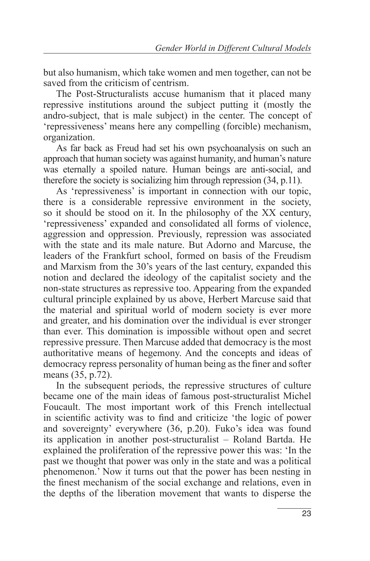but also humanism, which take women and men together, can not be saved from the criticism of centrism.

The Post-Structuralists accuse humanism that it placed many repressive institutions around the subject putting it (mostly the andro-subject, that is male subject) in the center. The concept of 'repressiveness' means here any compelling (forcible) mechanism, organization.

As far back as Freud had set his own psychoanalysis on such an approach that human society was against humanity, and human's nature was eternally a spoiled nature. Human beings are anti-social, and therefore the society is socializing him through repression (34, p.11).

As 'repressiveness' is important in connection with our topic, there is a considerable repressive environment in the society, so it should be stood on it. In the philosophy of the XX century, 'repressiveness' expanded and consolidated all forms of violence, aggression and oppression. Previously, repression was associated with the state and its male nature. But Adorno and Marcuse, the leaders of the Frankfurt school, formed on basis of the Freudism and Marxism from the 30's years of the last century, expanded this notion and declared the ideology of the capitalist society and the non-state structures as repressive too. Appearing from the expanded cultural principle explained by us above, Herbert Marcuse said that the material and spiritual world of modern society is ever more and greater, and his domination over the individual is ever stronger than ever. This domination is impossible without open and secret repressive pressure. Then Marcuse added that democracy is the most authoritative means of hegemony. And the concepts and ideas of democracy repress personality of human being as the finer and softer means (35, p.72).

In the subsequent periods, the repressive structures of culture became one of the main ideas of famous post-structuralist Michel Foucault. The most important work of this French intellectual in scientific activity was to find and criticize 'the logic of power and sovereignty' everywhere (36, p.20). Fuko's idea was found its application in another post-structuralist – Roland Bartda. He explained the proliferation of the repressive power this was: 'In the past we thought that power was only in the state and was a political phenomenon.' Now it turns out that the power has been nesting in the finest mechanism of the social exchange and relations, even in the depths of the liberation movement that wants to disperse the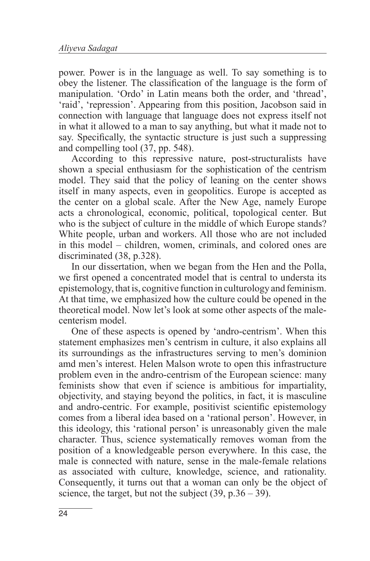power. Power is in the language as well. To say something is to obey the listener. The classification of the language is the form of manipulation. 'Ordo' in Latin means both the order, and 'thread', 'raid', 'repression'. Appearing from this position, Jacobson said in connection with language that language does not express itself not in what it allowed to a man to say anything, but what it made not to say. Specifically, the syntactic structure is just such a suppressing and compelling tool (37, pp. 548).

According to this repressive nature, post-structuralists have shown a special enthusiasm for the sophistication of the centrism model. They said that the policy of leaning on the center shows itself in many aspects, even in geopolitics. Europe is accepted as the center on a global scale. After the New Age, namely Europe acts a chronological, economic, political, topological center. But who is the subject of culture in the middle of which Europe stands? White people, urban and workers. All those who are not included in this model – children, women, criminals, and colored ones are discriminated (38, p.328).

In our dissertation, when we began from the Hen and the Polla, we first opened a concentrated model that is central to understa its epistemology, that is, cognitive function in culturology and feminism. At that time, we emphasized how the culture could be opened in the theoretical model. Now let's look at some other aspects of the malecenterism model.

One of these aspects is opened by 'andro-centrism'. When this statement emphasizes men's centrism in culture, it also explains all its surroundings as the infrastructures serving to men's dominion amd men's interest. Helen Malson wrote to open this infrastructure problem even in the andro-centrism of the European science: many feminists show that even if science is ambitious for impartiality, objectivity, and staying beyond the politics, in fact, it is masculine and andro-centric. For example, positivist scientific epistemology comes from a liberal idea based on a 'rational person'. However, in this ideology, this 'rational person' is unreasonably given the male character. Thus, science systematically removes woman from the position of a knowledgeable person everywhere. In this case, the male is connected with nature, sense in the male-female relations as associated with culture, knowledge, science, and rationality. Consequently, it turns out that a woman can only be the object of science, the target, but not the subject  $(39, p.36 - 39)$ .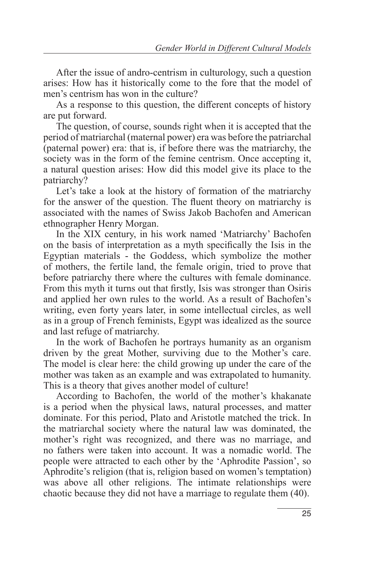After the issue of andro-centrism in culturology, such a question arises: How has it historically come to the fore that the model of men's centrism has won in the culture?

As a response to this question, the different concepts of history are put forward.

The question, of course, sounds right when it is accepted that the period of matriarchal (maternal power) era was before the patriarchal (paternal power) era: that is, if before there was the matriarchy, the society was in the form of the femine centrism. Once accepting it, a natural question arises: How did this model give its place to the patriarchy?

Let's take a look at the history of formation of the matriarchy for the answer of the question. The fluent theory on matriarchy is associated with the names of Swiss Jakob Bachofen and American ethnographer Henry Morgan.

In the XIX century, in his work named 'Matriarchy' Bachofen on the basis of interpretation as a myth specifically the Isis in the Egyptian materials - the Goddess, which symbolize the mother of mothers, the fertile land, the female origin, tried to prove that before patriarchy there where the cultures with female dominance. From this myth it turns out that firstly, Isis was stronger than Osiris and applied her own rules to the world. As a result of Bachofen's writing, even forty years later, in some intellectual circles, as well as in a group of French feminists, Egypt was idealized as the source and last refuge of matriarchy.

In the work of Bachofen he portrays humanity as an organism driven by the great Mother, surviving due to the Mother's care. The model is clear here: the child growing up under the care of the mother was taken as an example and was extrapolated to humanity. This is a theory that gives another model of culture!

According to Bachofen, the world of the mother's khakanate is a period when the physical laws, natural processes, and matter dominate. For this period, Plato and Aristotle matched the trick. In the matriarchal society where the natural law was dominated, the mother's right was recognized, and there was no marriage, and no fathers were taken into account. It was a nomadic world. The people were attracted to each other by the 'Aphrodite Passion', so Aphrodite's religion (that is, religion based on women's temptation) was above all other religions. The intimate relationships were chaotic because they did not have a marriage to regulate them (40).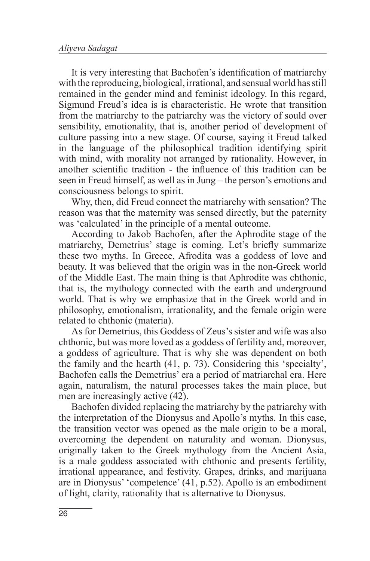It is very interesting that Bachofen's identification of matriarchy with the reproducing, biological, irrational, and sensual world has still remained in the gender mind and feminist ideology. In this regard, Sigmund Freud's idea is is characteristic. He wrote that transition from the matriarchy to the patriarchy was the victory of sould over sensibility, emotionality, that is, another period of development of culture passing into a new stage. Of course, saying it Freud talked in the language of the philosophical tradition identifying spirit with mind, with morality not arranged by rationality. However, in another scientific tradition - the influence of this tradition can be seen in Freud himself, as well as in Jung – the person's emotions and consciousness belongs to spirit.

Why, then, did Freud connect the matriarchy with sensation? The reason was that the maternity was sensed directly, but the paternity was 'calculated' in the principle of a mental outcome.

According to Jakob Bachofen, after the Aphrodite stage of the matriarchy, Demetrius' stage is coming. Let's briefly summarize these two myths. In Greece, Afrodita was a goddess of love and beauty. It was believed that the origin was in the non-Greek world of the Middle East. The main thing is that Aphrodite was chthonic, that is, the mythology connected with the earth and underground world. That is why we emphasize that in the Greek world and in philosophy, emotionalism, irrationality, and the female origin were related to chthonic (materia).

As for Demetrius, this Goddess of Zeus's sister and wife was also chthonic, but was more loved as a goddess of fertility and, moreover, a goddess of agriculture. That is why she was dependent on both the family and the hearth (41, p. 73). Considering this 'specialty', Bachofen calls the Demetrius' era a period of matriarchal era. Here again, naturalism, the natural processes takes the main place, but men are increasingly active (42).

Bachofen divided replacing the matriarchy by the patriarchy with the interpretation of the Dionysus and Apollo's myths. In this case, the transition vector was opened as the male origin to be a moral, overcoming the dependent on naturality and woman. Dionysus, originally taken to the Greek mythology from the Ancient Asia, is a male goddess associated with chthonic and presents fertility, irrational appearance, and festivity. Grapes, drinks, and marijuana are in Dionysus' 'competence' (41, p.52). Apollo is an embodiment of light, clarity, rationality that is alternative to Dionysus.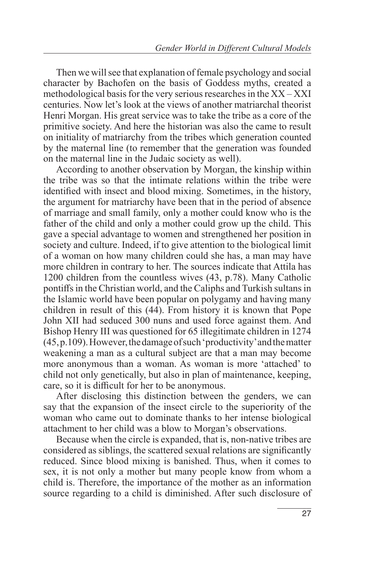Then we will see that explanation of female psychology and social character by Bachofen on the basis of Goddess myths, created a methodological basis for the very serious researches in the XX – XXI centuries. Now let's look at the views of another matriarchal theorist Henri Morgan. His great service was to take the tribe as a core of the primitive society. And here the historian was also the came to result on initiality of matriarchy from the tribes which generation counted by the maternal line (to remember that the generation was founded on the maternal line in the Judaic society as well).

According to another observation by Morgan, the kinship within the tribe was so that the intimate relations within the tribe were identified with insect and blood mixing. Sometimes, in the history, the argument for matriarchy have been that in the period of absence of marriage and small family, only a mother could know who is the father of the child and only a mother could grow up the child. This gave a special advantage to women and strengthened her position in society and culture. Indeed, if to give attention to the biological limit of a woman on how many children could she has, a man may have more children in contrary to her. The sources indicate that Attila has 1200 children from the countless wives (43, p.78). Many Catholic pontiffs in the Christian world, and the Caliphs and Turkish sultans in the Islamic world have been popular on polygamy and having many children in result of this (44). From history it is known that Pope John XII had seduced 300 nuns and used force against them. And Bishop Henry III was questioned for 65 illegitimate children in 1274 (45, p.109). However, the damage of such 'productivity' and the matter weakening a man as a cultural subject are that a man may become more anonymous than a woman. As woman is more 'attached' to child not only genetically, but also in plan of maintenance, keeping, care, so it is difficult for her to be anonymous.

After disclosing this distinction between the genders, we can say that the expansion of the insect circle to the superiority of the woman who came out to dominate thanks to her intense biological attachment to her child was a blow to Morgan's observations.

Because when the circle is expanded, that is, non-native tribes are considered as siblings, the scattered sexual relations are significantly reduced. Since blood mixing is banished. Thus, when it comes to sex, it is not only a mother but many people know from whom a child is. Therefore, the importance of the mother as an information source regarding to a child is diminished. After such disclosure of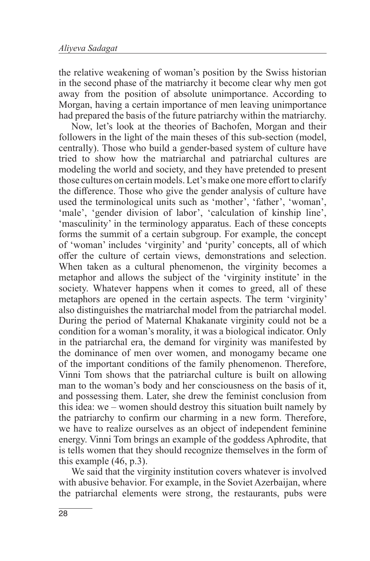the relative weakening of woman's position by the Swiss historian in the second phase of the matriarchy it become clear why men got away from the position of absolute unimportance. According to Morgan, having a certain importance of men leaving unimportance had prepared the basis of the future patriarchy within the matriarchy.

Now, let's look at the theories of Bachofen, Morgan and their followers in the light of the main theses of this sub-section (model, centrally). Those who build a gender-based system of culture have tried to show how the matriarchal and patriarchal cultures are modeling the world and society, and they have pretended to present those cultures on certain models. Let's make one more effort to clarify the difference. Those who give the gender analysis of culture have used the terminological units such as 'mother', 'father', 'woman', 'male', 'gender division of labor', 'calculation of kinship line', 'masculinity' in the terminology apparatus. Each of these concepts forms the summit of a certain subgroup. For example, the concept of 'woman' includes 'virginity' and 'purity' concepts, all of which offer the culture of certain views, demonstrations and selection. When taken as a cultural phenomenon, the virginity becomes a metaphor and allows the subject of the 'virginity institute' in the society. Whatever happens when it comes to greed, all of these metaphors are opened in the certain aspects. The term 'virginity' also distinguishes the matriarchal model from the patriarchal model. During the period of Maternal Khakanate virginity could not be a condition for a woman's morality, it was a biological indicator. Only in the patriarchal era, the demand for virginity was manifested by the dominance of men over women, and monogamy became one of the important conditions of the family phenomenon. Therefore, Vinni Tom shows that the patriarchal culture is built on allowing man to the woman's body and her consciousness on the basis of it, and possessing them. Later, she drew the feminist conclusion from this idea: we – women should destroy this situation built namely by the patriarchy to confirm our charming in a new form. Therefore, we have to realize ourselves as an object of independent feminine energy. Vinni Tom brings an example of the goddess Aphrodite, that is tells women that they should recognize themselves in the form of this example (46, p.3).

We said that the virginity institution covers whatever is involved with abusive behavior. For example, in the Soviet Azerbaijan, where the patriarchal elements were strong, the restaurants, pubs were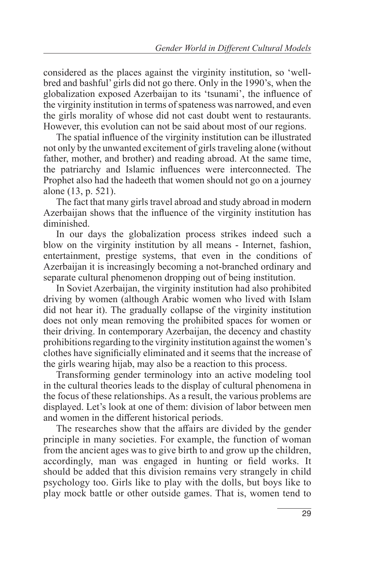considered as the places against the virginity institution, so 'wellbred and bashful' girls did not go there. Only in the 1990's, when the globalization exposed Azerbaijan to its 'tsunami', the influence of the virginity institution in terms of spateness was narrowed, and even the girls morality of whose did not cast doubt went to restaurants. However, this evolution can not be said about most of our regions.

The spatial influence of the virginity institution can be illustrated not only by the unwanted excitement of girls traveling alone (without father, mother, and brother) and reading abroad. At the same time, the patriarchy and Islamic influences were interconnected. The Prophet also had the hadeeth that women should not go on a journey alone (13, p. 521).

The fact that many girls travel abroad and study abroad in modern Azerbaijan shows that the influence of the virginity institution has diminished.

In our days the globalization process strikes indeed such a blow on the virginity institution by all means - Internet, fashion, entertainment, prestige systems, that even in the conditions of Azerbaijan it is increasingly becoming a not-branched ordinary and separate cultural phenomenon dropping out of being institution.

In Soviet Azerbaijan, the virginity institution had also prohibited driving by women (although Arabic women who lived with Islam did not hear it). The gradually collapse of the virginity institution does not only mean removing the prohibited spaces for women or their driving. In contemporary Azerbaijan, the decency and chastity prohibitions regarding to the virginity institution against the women's clothes have significially eliminated and it seems that the increase of the girls wearing hijab, may also be a reaction to this process.

Transforming gender terminology into an active modeling tool in the cultural theories leads to the display of cultural phenomena in the focus of these relationships. As a result, the various problems are displayed. Let's look at one of them: division of labor between men and women in the different historical periods.

The researches show that the affairs are divided by the gender principle in many societies. For example, the function of woman from the ancient ages was to give birth to and grow up the children, accordingly, man was engaged in hunting or field works. It should be added that this division remains very strangely in child psychology too. Girls like to play with the dolls, but boys like to play mock battle or other outside games. That is, women tend to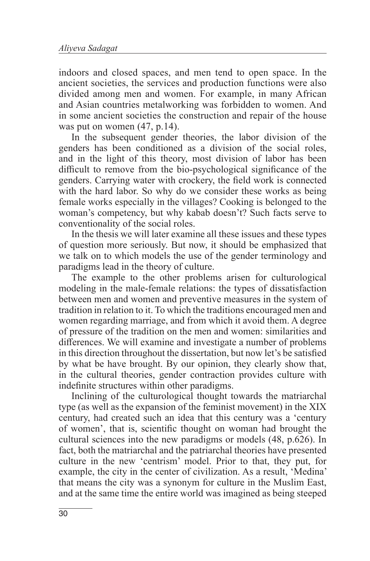indoors and closed spaces, and men tend to open space. In the ancient societies, the services and production functions were also divided among men and women. For example, in many African and Asian countries metalworking was forbidden to women. And in some ancient societies the construction and repair of the house was put on women  $(47, p.14)$ .

In the subsequent gender theories, the labor division of the genders has been conditioned as a division of the social roles, and in the light of this theory, most division of labor has been difficult to remove from the bio-psychological significance of the genders. Carrying water with crockery, the field work is connected with the hard labor. So why do we consider these works as being female works especially in the villages? Cooking is belonged to the woman's competency, but why kabab doesn't? Such facts serve to conventionality of the social roles.

In the thesis we will later examine all these issues and these types of question more seriously. But now, it should be emphasized that we talk on to which models the use of the gender terminology and paradigms lead in the theory of culture.

The example to the other problems arisen for culturological modeling in the male-female relations: the types of dissatisfaction between men and women and preventive measures in the system of tradition in relation to it. To which the traditions encouraged men and women regarding marriage, and from which it avoid them. A degree of pressure of the tradition on the men and women: similarities and differences. We will examine and investigate a number of problems in this direction throughout the dissertation, but now let's be satisfied by what be have brought. By our opinion, they clearly show that, in the cultural theories, gender contraction provides culture with indefinite structures within other paradigms.

Inclining of the culturological thought towards the matriarchal type (as well as the expansion of the feminist movement) in the XIX century, had created such an idea that this century was a 'century of women', that is, scientific thought on woman had brought the cultural sciences into the new paradigms or models (48, p.626). In fact, both the matriarchal and the patriarchal theories have presented culture in the new 'centrism' model. Prior to that, they put, for example, the city in the center of civilization. As a result, 'Medina' that means the city was a synonym for culture in the Muslim East, and at the same time the entire world was imagined as being steeped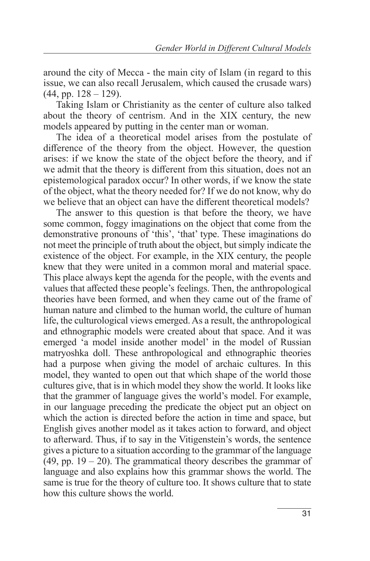around the city of Mecca - the main city of Islam (in regard to this issue, we can also recall Jerusalem, which caused the crusade wars)  $(44, pp. 128 - 129)$ .

Taking Islam or Christianity as the center of culture also talked about the theory of centrism. And in the XIX century, the new models appeared by putting in the center man or woman.

The idea of a theoretical model arises from the postulate of difference of the theory from the object. However, the question arises: if we know the state of the object before the theory, and if we admit that the theory is different from this situation, does not an epistemological paradox occur? In other words, if we know the state of the object, what the theory needed for? If we do not know, why do we believe that an object can have the different theoretical models?

The answer to this question is that before the theory, we have some common, foggy imaginations on the object that come from the demonstrative pronouns of 'this', 'that' type. These imaginations do not meet the principle of truth about the object, but simply indicate the existence of the object. For example, in the XIX century, the people knew that they were united in a common moral and material space. This place always kept the agenda for the people, with the events and values that affected these people's feelings. Then, the anthropological theories have been formed, and when they came out of the frame of human nature and climbed to the human world, the culture of human life, the culturological views emerged. As a result, the anthropological and ethnographic models were created about that space. And it was emerged 'a model inside another model' in the model of Russian matryoshka doll. These anthropological and ethnographic theories had a purpose when giving the model of archaic cultures. In this model, they wanted to open out that which shape of the world those cultures give, that is in which model they show the world. It looks like that the grammer of language gives the world's model. For example, in our language preceding the predicate the object put an object on which the action is directed before the action in time and space, but English gives another model as it takes action to forward, and object to afterward. Thus, if to say in the Vitigenstein's words, the sentence gives a picture to a situation according to the grammar of the language  $(49, pp. 19 - 20)$ . The grammatical theory describes the grammar of language and also explains how this grammar shows the world. The same is true for the theory of culture too. It shows culture that to state how this culture shows the world.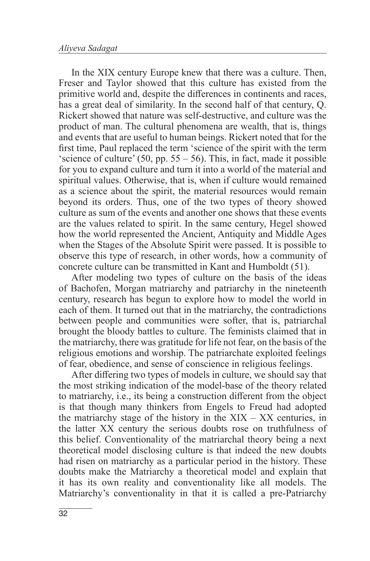In the XIX century Europe knew that there was a culture. Then, Freser and Taylor showed that this culture has existed from the primitive world and, despite the differences in continents and races, has a great deal of similarity. In the second half of that century, Q. Rickert showed that nature was self-destructive, and culture was the product of man. The cultural phenomena are wealth, that is, things and events that are useful to human beings. Rickert noted that for the first time, Paul replaced the term 'science of the spirit with the term 'science of culture' (50, pp.  $55 - 56$ ). This, in fact, made it possible for you to expand culture and turn it into a world of the material and spiritual values. Otherwise, that is, when if culture would remained as a science about the spirit, the material resources would remain beyond its orders. Thus, one of the two types of theory showed culture as sum of the events and another one shows that these events are the values related to spirit. In the same century, Hegel showed how the world represented the Ancient, Antiquity and Middle Ages when the Stages of the Absolute Spirit were passed. It is possible to observe this type of research, in other words, how a community of concrete culture can be transmitted in Kant and Humboldt (51).

After modeling two types of culture on the basis of the ideas of Bachofen, Morgan matriarchy and patriarchy in the nineteenth century, research has begun to explore how to model the world in each of them. It turned out that in the matriarchy, the contradictions between people and communities were softer, that is, patriarchal brought the bloody battles to culture. The feminists claimed that in the matriarchy, there was gratitude for life not fear, on the basis of the religious emotions and worship. The patriarchate exploited feelings of fear, obedience, and sense of conscience in religious feelings.

After differing two types of models in culture, we should say that the most striking indication of the model-base of the theory related to matriarchy, i.e., its being a construction different from the object is that though many thinkers from Engels to Freud had adopted the matriarchy stage of the history in the  $XIX - XX$  centuries, in the latter XX century the serious doubts rose on truthfulness of this belief. Conventionality of the matriarchal theory being a next theoretical model disclosing culture is that indeed the new doubts had risen on matriarchy as a particular period in the history. These doubts make the Matriarchy a theoretical model and explain that it has its own reality and conventionality like all models. The Matriarchy's conventionality in that it is called a pre-Patriarchy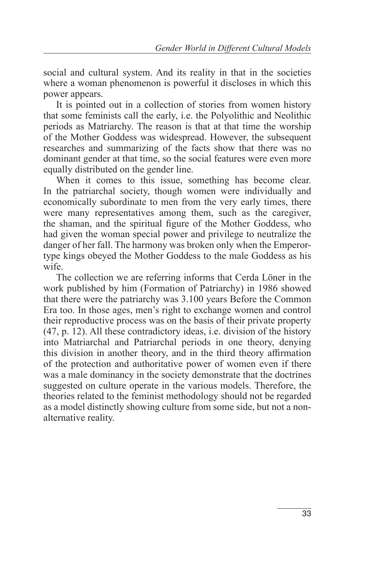social and cultural system. And its reality in that in the societies where a woman phenomenon is powerful it discloses in which this power appears.

It is pointed out in a collection of stories from women history that some feminists call the early, i.e. the Polyolithic and Neolithic periods as Matriarchy. The reason is that at that time the worship of the Mother Goddess was widespread. However, the subsequent researches and summarizing of the facts show that there was no dominant gender at that time, so the social features were even more equally distributed on the gender line.

When it comes to this issue, something has become clear. In the patriarchal society, though women were individually and economically subordinate to men from the very early times, there were many representatives among them, such as the caregiver, the shaman, and the spiritual figure of the Mother Goddess, who had given the woman special power and privilege to neutralize the danger of her fall. The harmony was broken only when the Emperortype kings obeyed the Mother Goddess to the male Goddess as his wife.

The collection we are referring informs that Cerda Löner in the work published by him (Formation of Patriarchy) in 1986 showed that there were the patriarchy was 3.100 years Before the Common Era too. In those ages, men's right to exchange women and control their reproductive process was on the basis of their private property (47, p. 12). All these contradictory ideas, i.e. division of the history into Matriarchal and Patriarchal periods in one theory, denying this division in another theory, and in the third theory affirmation of the protection and authoritative power of women even if there was a male dominancy in the society demonstrate that the doctrines suggested on culture operate in the various models. Therefore, the theories related to the feminist methodology should not be regarded as a model distinctly showing culture from some side, but not a nonalternative reality.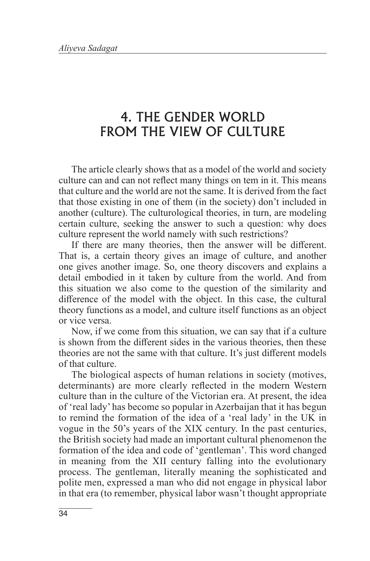#### 4. THE GENDER WORLD FROM THE VIEW OF CULTURE

The article clearly shows that as a model of the world and society culture can and can not reflect many things on tem in it. This means that culture and the world are not the same. It is derived from the fact that those existing in one of them (in the society) don't included in another (culture). The culturological theories, in turn, are modeling certain culture, seeking the answer to such a question: why does culture represent the world namely with such restrictions?

If there are many theories, then the answer will be different. That is, a certain theory gives an image of culture, and another one gives another image. So, one theory discovers and explains a detail embodied in it taken by culture from the world. And from this situation we also come to the question of the similarity and difference of the model with the object. In this case, the cultural theory functions as a model, and culture itself functions as an object or vice versa.

Now, if we come from this situation, we can say that if a culture is shown from the different sides in the various theories, then these theories are not the same with that culture. It's just different models of that culture.

The biological aspects of human relations in society (motives, determinants) are more clearly reflected in the modern Western culture than in the culture of the Victorian era. At present, the idea of 'real lady' has become so popular in Azerbaijan that it has begun to remind the formation of the idea of a 'real lady' in the UK in vogue in the 50's years of the XIX century. In the past centuries, the British society had made an important cultural phenomenon the formation of the idea and code of 'gentleman'. This word changed in meaning from the XII century falling into the evolutionary process. The gentleman, literally meaning the sophisticated and polite men, expressed a man who did not engage in physical labor in that era (to remember, physical labor wasn't thought appropriate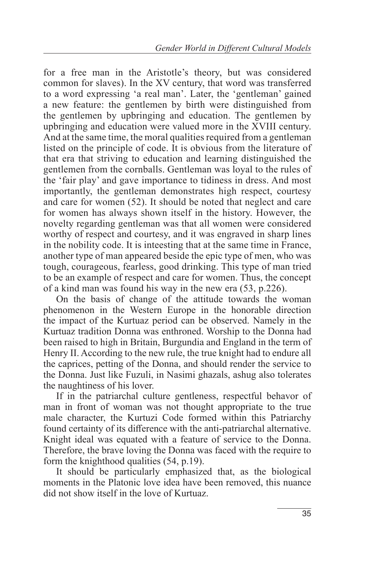for a free man in the Aristotle's theory, but was considered common for slaves). In the XV century, that word was transferred to a word expressing 'a real man'. Later, the 'gentleman' gained a new feature: the gentlemen by birth were distinguished from the gentlemen by upbringing and education. The gentlemen by upbringing and education were valued more in the XVIII century. And at the same time, the moral qualities required from a gentleman listed on the principle of code. It is obvious from the literature of that era that striving to education and learning distinguished the gentlemen from the cornballs. Gentleman was loyal to the rules of the 'fair play' and gave importance to tidiness in dress. And most importantly, the gentleman demonstrates high respect, courtesy and care for women (52). It should be noted that neglect and care for women has always shown itself in the history. However, the novelty regarding gentleman was that all women were considered worthy of respect and courtesy, and it was engraved in sharp lines in the nobility code. It is inteesting that at the same time in France, another type of man appeared beside the epic type of men, who was tough, courageous, fearless, good drinking. This type of man tried to be an example of respect and care for women. Thus, the concept of a kind man was found his way in the new era (53, p.226).

On the basis of change of the attitude towards the woman phenomenon in the Western Europe in the honorable direction the impact of the Kurtuaz period can be observed. Namely in the Kurtuaz tradition Donna was enthroned. Worship to the Donna had been raised to high in Britain, Burgundia and England in the term of Henry II. According to the new rule, the true knight had to endure all the caprices, petting of the Donna, and should render the service to the Donna. Just like Fuzuli, in Nasimi ghazals, ashug also tolerates the naughtiness of his lover.

If in the patriarchal culture gentleness, respectful behavor of man in front of woman was not thought appropriate to the true male character, the Kurtuzi Code formed within this Patriarchy found certainty of its difference with the anti-patriarchal alternative. Knight ideal was equated with a feature of service to the Donna. Therefore, the brave loving the Donna was faced with the require to form the knighthood qualities (54, p.19).

It should be particularly emphasized that, as the biological moments in the Platonic love idea have been removed, this nuance did not show itself in the love of Kurtuaz.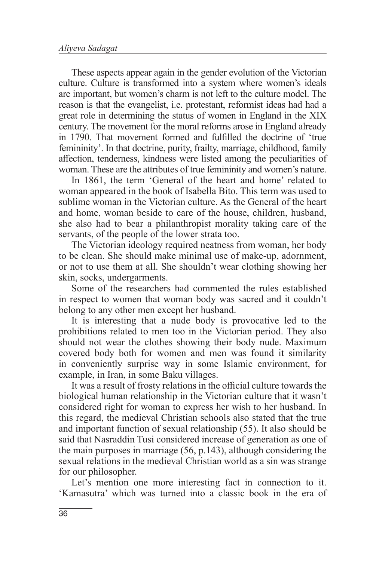These aspects appear again in the gender evolution of the Victorian culture. Culture is transformed into a system where women's ideals are important, but women's charm is not left to the culture model. The reason is that the evangelist, i.e. protestant, reformist ideas had had a great role in determining the status of women in England in the XIX century. The movement for the moral reforms arose in England already in 1790. That movement formed and fulfilled the doctrine of 'true femininity'. In that doctrine, purity, frailty, marriage, childhood, family affection, tenderness, kindness were listed among the peculiarities of woman. These are the attributes of true femininity and women's nature.

In 1861, the term 'General of the heart and home' related to woman appeared in the book of Isabella Bito. This term was used to sublime woman in the Victorian culture. As the General of the heart and home, woman beside to care of the house, children, husband, she also had to bear a philanthropist morality taking care of the servants, of the people of the lower strata too.

The Victorian ideology required neatness from woman, her body to be clean. She should make minimal use of make-up, adornment, or not to use them at all. She shouldn't wear clothing showing her skin, socks, undergarments.

Some of the researchers had commented the rules established in respect to women that woman body was sacred and it couldn't belong to any other men except her husband.

It is interesting that a nude body is provocative led to the prohibitions related to men too in the Victorian period. They also should not wear the clothes showing their body nude. Maximum covered body both for women and men was found it similarity in conveniently surprise way in some Islamic environment, for example, in Iran, in some Baku villages.

It was a result of frosty relations in the official culture towards the biological human relationship in the Victorian culture that it wasn't considered right for woman to express her wish to her husband. In this regard, the medieval Christian schools also stated that the true and important function of sexual relationship (55). It also should be said that Nasraddin Tusi considered increase of generation as one of the main purposes in marriage (56, p.143), although considering the sexual relations in the medieval Christian world as a sin was strange for our philosopher.

Let's mention one more interesting fact in connection to it. 'Kamasutra' which was turned into a classic book in the era of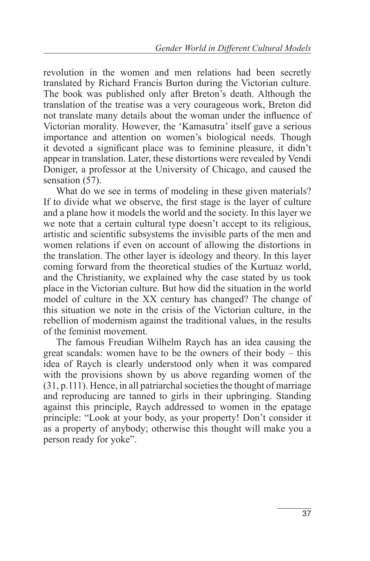revolution in the women and men relations had been secretly translated by Richard Francis Burton during the Victorian culture. The book was published only after Breton's death. Although the translation of the treatise was a very courageous work, Breton did not translate many details about the woman under the influence of Victorian morality. However, the 'Kamasutra' itself gave a serious importance and attention on women's biological needs. Though it devoted a significant place was to feminine pleasure, it didn't appear in translation. Later, these distortions were revealed by Vendi Doniger, a professor at the University of Chicago, and caused the sensation (57).

What do we see in terms of modeling in these given materials? If to divide what we observe, the first stage is the layer of culture and a plane how it models the world and the society. In this layer we we note that a certain cultural type doesn't accept to its religious, artistic and scientific subsystems the invisible parts of the men and women relations if even on account of allowing the distortions in the translation. The other layer is ideology and theory. In this layer coming forward from the theoretical studies of the Kurtuaz world, and the Christianity, we explained why the case stated by us took place in the Victorian culture. But how did the situation in the world model of culture in the XX century has changed? The change of this situation we note in the crisis of the Victorian culture, in the rebellion of modernism against the traditional values, in the results of the feminist movement.

The famous Freudian Wilhelm Raych has an idea causing the great scandals: women have to be the owners of their body – this idea of Raych is clearly understood only when it was compared with the provisions shown by us above regarding women of the (31, p.111). Hence, in all patriarchal societies the thought of marriage and reproducing are tanned to girls in their upbringing. Standing against this principle, Raych addressed to women in the epatage principle: "Look at your body, as your property! Don't consider it as a property of anybody; otherwise this thought will make you a person ready for yoke".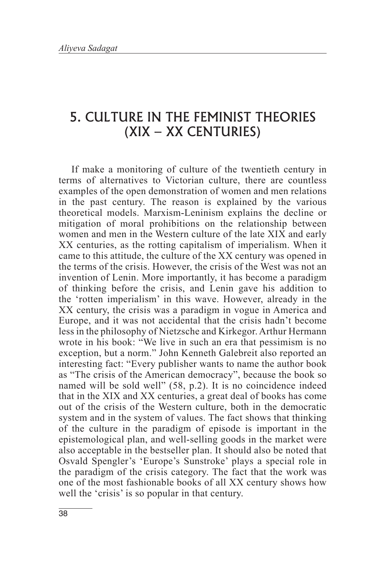#### 5. CULTURE IN THE FEMINIST THEORIES (XIX – XX CENTURIES)

If make a monitoring of culture of the twentieth century in terms of alternatives to Victorian culture, there are countless examples of the open demonstration of women and men relations in the past century. The reason is explained by the various theoretical models. Marxism-Leninism explains the decline or mitigation of moral prohibitions on the relationship between women and men in the Western culture of the late XIX and early XX centuries, as the rotting capitalism of imperialism. When it came to this attitude, the culture of the XX century was opened in the terms of the crisis. However, the crisis of the West was not an invention of Lenin. More importantly, it has become a paradigm of thinking before the crisis, and Lenin gave his addition to the 'rotten imperialism' in this wave. However, already in the XX century, the crisis was a paradigm in vogue in America and Europe, and it was not accidental that the crisis hadn't become less in the philosophy of Nietzsche and Kirkegor. Arthur Hermann wrote in his book: "We live in such an era that pessimism is no exception, but a norm." John Kenneth Galebreit also reported an interesting fact: "Every publisher wants to name the author book as "The crisis of the American democracy", because the book so named will be sold well" (58, p.2). It is no coincidence indeed that in the XIX and XX centuries, a great deal of books has come out of the crisis of the Western culture, both in the democratic system and in the system of values. The fact shows that thinking of the culture in the paradigm of episode is important in the epistemological plan, and well-selling goods in the market were also acceptable in the bestseller plan. It should also be noted that Osvald Spengler's 'Europe's Sunstroke' plays a special role in the paradigm of the crisis category. The fact that the work was one of the most fashionable books of all XX century shows how well the 'crisis' is so popular in that century.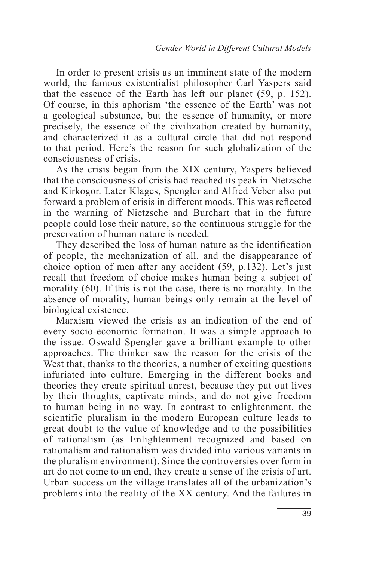In order to present crisis as an imminent state of the modern world, the famous existentialist philosopher Carl Yaspers said that the essence of the Earth has left our planet (59, p. 152). Of course, in this aphorism 'the essence of the Earth' was not a geological substance, but the essence of humanity, or more precisely, the essence of the civilization created by humanity, and characterized it as a cultural circle that did not respond to that period. Here's the reason for such globalization of the consciousness of crisis.

As the crisis began from the XIX century, Yaspers believed that the consciousness of crisis had reached its peak in Nietzsche and Kirkogor. Later Klages, Spengler and Alfred Veber also put forward a problem of crisis in different moods. This was reflected in the warning of Nietzsche and Burchart that in the future people could lose their nature, so the continuous struggle for the preservation of human nature is needed.

They described the loss of human nature as the identification of people, the mechanization of all, and the disappearance of choice option of men after any accident (59, p.132). Let's just recall that freedom of choice makes human being a subject of morality (60). If this is not the case, there is no morality. In the absence of morality, human beings only remain at the level of biological existence.

Marxism viewed the crisis as an indication of the end of every socio-economic formation. It was a simple approach to the issue. Oswald Spengler gave a brilliant example to other approaches. The thinker saw the reason for the crisis of the West that, thanks to the theories, a number of exciting questions infuriated into culture. Emerging in the different books and theories they create spiritual unrest, because they put out lives by their thoughts, captivate minds, and do not give freedom to human being in no way. In contrast to enlightenment, the scientific pluralism in the modern European culture leads to great doubt to the value of knowledge and to the possibilities of rationalism (as Enlightenment recognized and based on rationalism and rationalism was divided into various variants in the pluralism environment). Since the controversies over form in art do not come to an end, they create a sense of the crisis of art. Urban success on the village translates all of the urbanization's problems into the reality of the XX century. And the failures in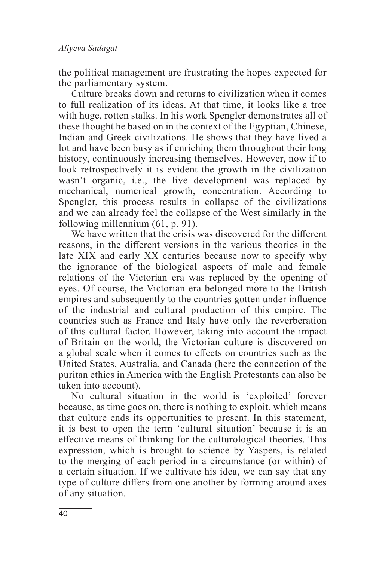the political management are frustrating the hopes expected for the parliamentary system.

Culture breaks down and returns to civilization when it comes to full realization of its ideas. At that time, it looks like a tree with huge, rotten stalks. In his work Spengler demonstrates all of these thought he based on in the context of the Egyptian, Chinese, Indian and Greek civilizations. He shows that they have lived a lot and have been busy as if enriching them throughout their long history, continuously increasing themselves. However, now if to look retrospectively it is evident the growth in the civilization wasn't organic, i.e., the live development was replaced by mechanical, numerical growth, concentration. According to Spengler, this process results in collapse of the civilizations and we can already feel the collapse of the West similarly in the following millennium (61, p. 91).

We have written that the crisis was discovered for the different reasons, in the different versions in the various theories in the late XIX and early XX centuries because now to specify why the ignorance of the biological aspects of male and female relations of the Victorian era was replaced by the opening of eyes. Of course, the Victorian era belonged more to the British empires and subsequently to the countries gotten under influence of the industrial and cultural production of this empire. The countries such as France and Italy have only the reverberation of this cultural factor. However, taking into account the impact of Britain on the world, the Victorian culture is discovered on a global scale when it comes to effects on countries such as the United States, Australia, and Canada (here the connection of the puritan ethics in America with the English Protestants can also be taken into account).

No cultural situation in the world is 'exploited' forever because, as time goes on, there is nothing to exploit, which means that culture ends its opportunities to present. In this statement, it is best to open the term 'cultural situation' because it is an effective means of thinking for the culturological theories. This expression, which is brought to science by Yaspers, is related to the merging of each period in a circumstance (or within) of a certain situation. If we cultivate his idea, we can say that any type of culture differs from one another by forming around axes of any situation.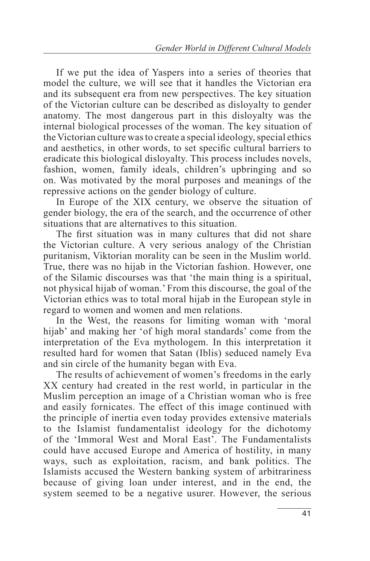If we put the idea of Yaspers into a series of theories that model the culture, we will see that it handles the Victorian era and its subsequent era from new perspectives. The key situation of the Victorian culture can be described as disloyalty to gender anatomy. The most dangerous part in this disloyalty was the internal biological processes of the woman. The key situation of the Victorian culture was to create a special ideology, special ethics and aesthetics, in other words, to set specific cultural barriers to eradicate this biological disloyalty. This process includes novels, fashion, women, family ideals, children's upbringing and so on. Was motivated by the moral purposes and meanings of the repressive actions on the gender biology of culture.

In Europe of the XIX century, we observe the situation of gender biology, the era of the search, and the occurrence of other situations that are alternatives to this situation.

The first situation was in many cultures that did not share the Victorian culture. A very serious analogy of the Christian puritanism, Viktorian morality can be seen in the Muslim world. True, there was no hijab in the Victorian fashion. However, one of the Silamic discourses was that 'the main thing is a spiritual, not physical hijab of woman.' From this discourse, the goal of the Victorian ethics was to total moral hijab in the European style in regard to women and women and men relations.

In the West, the reasons for limiting woman with 'moral hijab' and making her 'of high moral standards' come from the interpretation of the Eva mythologem. In this interpretation it resulted hard for women that Satan (Iblis) seduced namely Eva and sin circle of the humanity began with Eva.

The results of achievement of women's freedoms in the early XX century had created in the rest world, in particular in the Muslim perception an image of a Christian woman who is free and easily fornicates. The effect of this image continued with the principle of inertia even today provides extensive materials to the Islamist fundamentalist ideology for the dichotomy of the 'Immoral West and Moral East'. The Fundamentalists could have accused Europe and America of hostility, in many ways, such as exploitation, racism, and bank politics. The Islamists accused the Western banking system of arbitrariness because of giving loan under interest, and in the end, the system seemed to be a negative usurer. However, the serious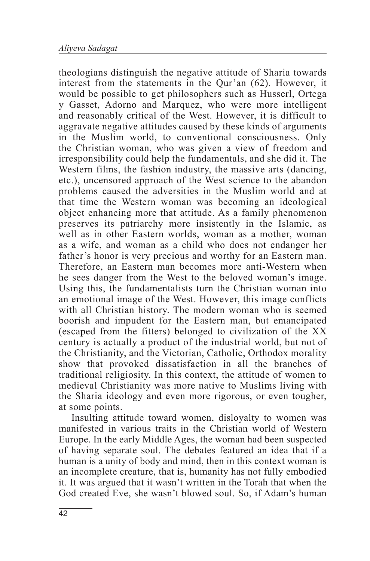theologians distinguish the negative attitude of Sharia towards interest from the statements in the Qur'an (62). However, it would be possible to get philosophers such as Husserl, Ortega y Gasset, Adorno and Marquez, who were more intelligent and reasonably critical of the West. However, it is difficult to aggravate negative attitudes caused by these kinds of arguments in the Muslim world, to conventional consciousness. Only the Christian woman, who was given a view of freedom and irresponsibility could help the fundamentals, and she did it. The Western films, the fashion industry, the massive arts (dancing, etc.), uncensored approach of the West science to the abandon problems caused the adversities in the Muslim world and at that time the Western woman was becoming an ideological object enhancing more that attitude. As a family phenomenon preserves its patriarchy more insistently in the Islamic, as well as in other Eastern worlds, woman as a mother, woman as a wife, and woman as a child who does not endanger her father's honor is very precious and worthy for an Eastern man. Therefore, an Eastern man becomes more anti-Western when he sees danger from the West to the beloved woman's image. Using this, the fundamentalists turn the Christian woman into an emotional image of the West. However, this image conflicts with all Christian history. The modern woman who is seemed boorish and impudent for the Eastern man, but emancipated (escaped from the fitters) belonged to civilization of the XX century is actually a product of the industrial world, but not of the Christianity, and the Victorian, Catholic, Orthodox morality show that provoked dissatisfaction in all the branches of traditional religiosity. In this context, the attitude of women to medieval Christianity was more native to Muslims living with the Sharia ideology and even more rigorous, or even tougher, at some points.

Insulting attitude toward women, disloyalty to women was manifested in various traits in the Christian world of Western Europe. In the early Middle Ages, the woman had been suspected of having separate soul. The debates featured an idea that if a human is a unity of body and mind, then in this context woman is an incomplete creature, that is, humanity has not fully embodied it. It was argued that it wasn't written in the Torah that when the God created Eve, she wasn't blowed soul. So, if Adam's human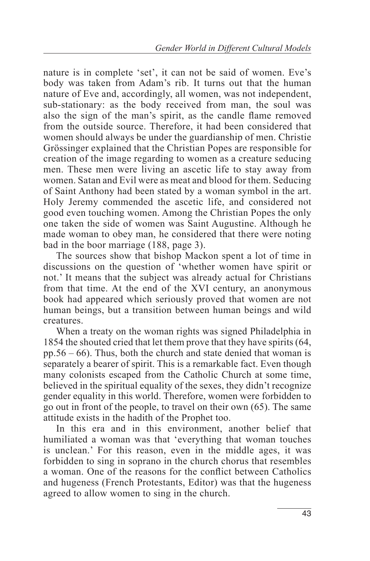nature is in complete 'set', it can not be said of women. Eve's body was taken from Adam's rib. It turns out that the human nature of Eve and, accordingly, all women, was not independent, sub-stationary: as the body received from man, the soul was also the sign of the man's spirit, as the candle flame removed from the outside source. Therefore, it had been considered that women should always be under the guardianship of men. Christie Grössinger explained that the Christian Popes are responsible for creation of the image regarding to women as a creature seducing men. These men were living an ascetic life to stay away from women. Satan and Evil were as meat and blood for them. Seducing of Saint Anthony had been stated by a woman symbol in the art. Holy Jeremy commended the ascetic life, and considered not good even touching women. Among the Christian Popes the only one taken the side of women was Saint Augustine. Although he made woman to obey man, he considered that there were noting bad in the boor marriage (188, page 3).

The sources show that bishop Mackon spent a lot of time in discussions on the question of 'whether women have spirit or not.' It means that the subject was already actual for Christians from that time. At the end of the XVI century, an anonymous book had appeared which seriously proved that women are not human beings, but a transition between human beings and wild creatures.

When a treaty on the woman rights was signed Philadelphia in 1854 the shouted cried that let them prove that they have spirits (64, pp.56 – 66). Thus, both the church and state denied that woman is separately a bearer of spirit. This is a remarkable fact. Even though many colonists escaped from the Catholic Church at some time, believed in the spiritual equality of the sexes, they didn't recognize gender equality in this world. Therefore, women were forbidden to go out in front of the people, to travel on their own (65). The same attitude exists in the hadith of the Prophet too.

In this era and in this environment, another belief that humiliated a woman was that 'everything that woman touches is unclean.' For this reason, even in the middle ages, it was forbidden to sing in soprano in the church chorus that resembles a woman. One of the reasons for the conflict between Catholics and hugeness (French Protestants, Editor) was that the hugeness agreed to allow women to sing in the church.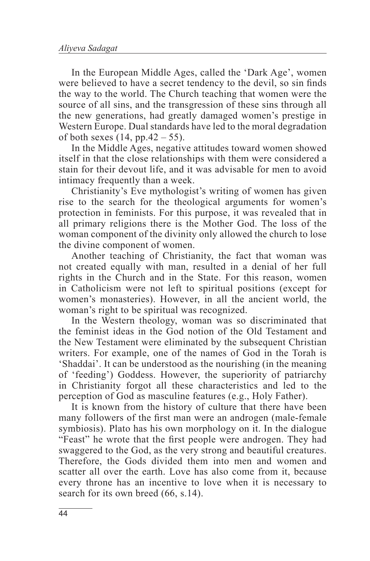In the European Middle Ages, called the 'Dark Age', women were believed to have a secret tendency to the devil, so sin finds the way to the world. The Church teaching that women were the source of all sins, and the transgression of these sins through all the new generations, had greatly damaged women's prestige in Western Europe. Dual standards have led to the moral degradation of both sexes  $(14, pp.42 - 55)$ .

In the Middle Ages, negative attitudes toward women showed itself in that the close relationships with them were considered a stain for their devout life, and it was advisable for men to avoid intimacy frequently than a week.

Christianity's Eve mythologist's writing of women has given rise to the search for the theological arguments for women's protection in feminists. For this purpose, it was revealed that in all primary religions there is the Mother God. The loss of the woman component of the divinity only allowed the church to lose the divine component of women.

Another teaching of Christianity, the fact that woman was not created equally with man, resulted in a denial of her full rights in the Church and in the State. For this reason, women in Catholicism were not left to spiritual positions (except for women's monasteries). However, in all the ancient world, the woman's right to be spiritual was recognized.

In the Western theology, woman was so discriminated that the feminist ideas in the God notion of the Old Testament and the New Testament were eliminated by the subsequent Christian writers. For example, one of the names of God in the Torah is 'Shaddai'. It can be understood as the nourishing (in the meaning of 'feeding') Goddess. However, the superiority of patriarchy in Christianity forgot all these characteristics and led to the perception of God as masculine features (e.g., Holy Father).

It is known from the history of culture that there have been many followers of the first man were an androgen (male-female symbiosis). Plato has his own morphology on it. In the dialogue "Feast" he wrote that the first people were androgen. They had swaggered to the God, as the very strong and beautiful creatures. Therefore, the Gods divided them into men and women and scatter all over the earth. Love has also come from it, because every throne has an incentive to love when it is necessary to search for its own breed (66, s.14).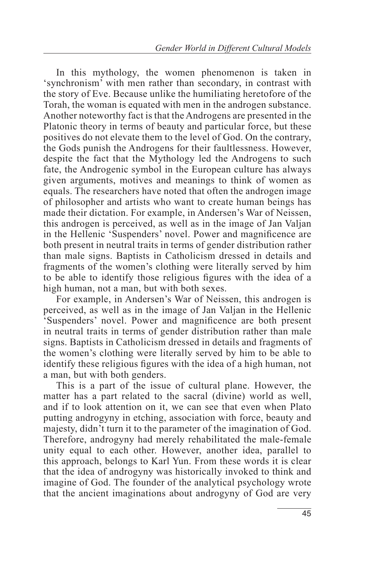In this mythology, the women phenomenon is taken in 'synchronism' with men rather than secondary, in contrast with the story of Eve. Because unlike the humiliating heretofore of the Torah, the woman is equated with men in the androgen substance. Another noteworthy fact is that the Androgens are presented in the Platonic theory in terms of beauty and particular force, but these positives do not elevate them to the level of God. On the contrary, the Gods punish the Androgens for their faultlessness. However, despite the fact that the Mythology led the Androgens to such fate, the Androgenic symbol in the European culture has always given arguments, motives and meanings to think of women as equals. The researchers have noted that often the androgen image of philosopher and artists who want to create human beings has made their dictation. For example, in Andersen's War of Neissen, this androgen is perceived, as well as in the image of Jan Valjan in the Hellenic 'Suspenders' novel. Power and magnificence are both present in neutral traits in terms of gender distribution rather than male signs. Baptists in Catholicism dressed in details and fragments of the women's clothing were literally served by him to be able to identify those religious figures with the idea of a high human, not a man, but with both sexes.

For example, in Andersen's War of Neissen, this androgen is perceived, as well as in the image of Jan Valjan in the Hellenic 'Suspenders' novel. Power and magnificence are both present in neutral traits in terms of gender distribution rather than male signs. Baptists in Catholicism dressed in details and fragments of the women's clothing were literally served by him to be able to identify these religious figures with the idea of a high human, not a man, but with both genders.

This is a part of the issue of cultural plane. However, the matter has a part related to the sacral (divine) world as well, and if to look attention on it, we can see that even when Plato putting androgyny in etching, association with force, beauty and majesty, didn't turn it to the parameter of the imagination of God. Therefore, androgyny had merely rehabilitated the male-female unity equal to each other. However, another idea, parallel to this approach, belongs to Karl Yun. From these words it is clear that the idea of androgyny was historically invoked to think and imagine of God. The founder of the analytical psychology wrote that the ancient imaginations about androgyny of God are very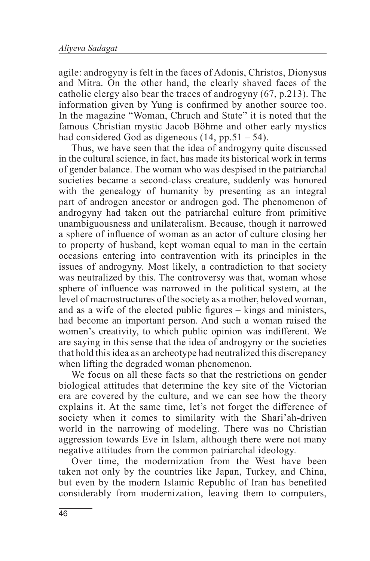agile: androgyny is felt in the faces of Adonis, Christos, Dionysus and Mitra. On the other hand, the clearly shaved faces of the catholic clergy also bear the traces of androgyny (67, p.213). The information given by Yung is confirmed by another source too. In the magazine "Woman, Chruch and State" it is noted that the famous Christian mystic Jacob Böhme and other early mystics had considered God as digeneous  $(14, pp.51 - 54)$ .

Thus, we have seen that the idea of androgyny quite discussed in the cultural science, in fact, has made its historical work in terms of gender balance. The woman who was despised in the patriarchal societies became a second-class creature, suddenly was honored with the genealogy of humanity by presenting as an integral part of androgen ancestor or androgen god. The phenomenon of androgyny had taken out the patriarchal culture from primitive unambiguousness and unilateralism. Because, though it narrowed a sphere of influence of woman as an actor of culture closing her to property of husband, kept woman equal to man in the certain occasions entering into contravention with its principles in the issues of androgyny. Most likely, a contradiction to that society was neutralized by this. The controversy was that, woman whose sphere of influence was narrowed in the political system, at the level of macrostructures of the society as a mother, beloved woman, and as a wife of the elected public figures – kings and ministers, had become an important person. And such a woman raised the women's creativity, to which public opinion was indifferent. We are saying in this sense that the idea of androgyny or the societies that hold this idea as an archeotype had neutralized this discrepancy when lifting the degraded woman phenomenon.

We focus on all these facts so that the restrictions on gender biological attitudes that determine the key site of the Victorian era are covered by the culture, and we can see how the theory explains it. At the same time, let's not forget the difference of society when it comes to similarity with the Shari'ah-driven world in the narrowing of modeling. There was no Christian aggression towards Eve in Islam, although there were not many negative attitudes from the common patriarchal ideology.

Over time, the modernization from the West have been taken not only by the countries like Japan, Turkey, and China, but even by the modern Islamic Republic of Iran has benefited considerably from modernization, leaving them to computers,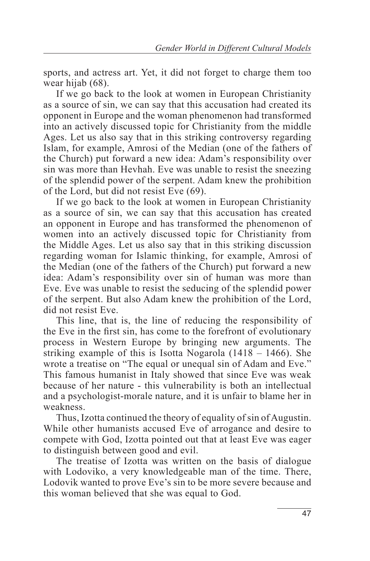sports, and actress art. Yet, it did not forget to charge them too wear hijab (68).

If we go back to the look at women in European Christianity as a source of sin, we can say that this accusation had created its opponent in Europe and the woman phenomenon had transformed into an actively discussed topic for Christianity from the middle Ages. Let us also say that in this striking controversy regarding Islam, for example, Amrosi of the Median (one of the fathers of the Church) put forward a new idea: Adam's responsibility over sin was more than Hevhah. Eve was unable to resist the sneezing of the splendid power of the serpent. Adam knew the prohibition of the Lord, but did not resist Eve (69).

If we go back to the look at women in European Christianity as a source of sin, we can say that this accusation has created an opponent in Europe and has transformed the phenomenon of women into an actively discussed topic for Christianity from the Middle Ages. Let us also say that in this striking discussion regarding woman for Islamic thinking, for example, Amrosi of the Median (one of the fathers of the Church) put forward a new idea: Adam's responsibility over sin of human was more than Eve. Eve was unable to resist the seducing of the splendid power of the serpent. But also Adam knew the prohibition of the Lord, did not resist Eve.

This line, that is, the line of reducing the responsibility of the Eve in the first sin, has come to the forefront of evolutionary process in Western Europe by bringing new arguments. The striking example of this is Isotta Nogarola (1418 – 1466). She wrote a treatise on "The equal or unequal sin of Adam and Eve." This famous humanist in Italy showed that since Eve was weak because of her nature - this vulnerability is both an intellectual and a psychologist-morale nature, and it is unfair to blame her in weakness.

Thus, Izotta continued the theory of equality of sin of Augustin. While other humanists accused Eve of arrogance and desire to compete with God, Izotta pointed out that at least Eve was eager to distinguish between good and evil.

The treatise of Izotta was written on the basis of dialogue with Lodoviko, a very knowledgeable man of the time. There, Lodovik wanted to prove Eve's sin to be more severe because and this woman believed that she was equal to God.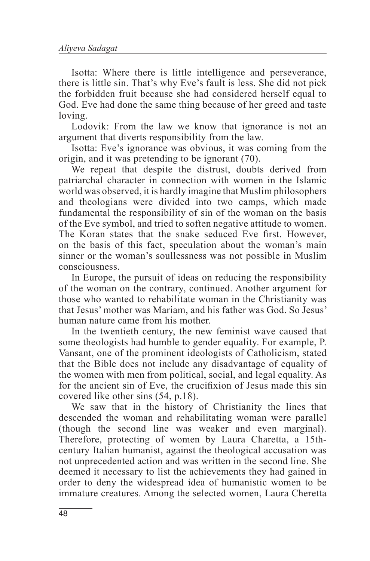Isotta: Where there is little intelligence and perseverance, there is little sin. That's why Eve's fault is less. She did not pick the forbidden fruit because she had considered herself equal to God. Eve had done the same thing because of her greed and taste loving.

Lodovik: From the law we know that ignorance is not an argument that diverts responsibility from the law.

Isotta: Eve's ignorance was obvious, it was coming from the origin, and it was pretending to be ignorant (70).

We repeat that despite the distrust, doubts derived from patriarchal character in connection with women in the Islamic world was observed, it is hardly imagine that Muslim philosophers and theologians were divided into two camps, which made fundamental the responsibility of sin of the woman on the basis of the Eve symbol, and tried to soften negative attitude to women. The Koran states that the snake seduced Eve first. However, on the basis of this fact, speculation about the woman's main sinner or the woman's soullessness was not possible in Muslim consciousness.

In Europe, the pursuit of ideas on reducing the responsibility of the woman on the contrary, continued. Another argument for those who wanted to rehabilitate woman in the Christianity was that Jesus' mother was Mariam, and his father was God. So Jesus' human nature came from his mother.

In the twentieth century, the new feminist wave caused that some theologists had humble to gender equality. For example, P. Vansant, one of the prominent ideologists of Catholicism, stated that the Bible does not include any disadvantage of equality of the women with men from political, social, and legal equality. As for the ancient sin of Eve, the crucifixion of Jesus made this sin covered like other sins (54, p.18).

We saw that in the history of Christianity the lines that descended the woman and rehabilitating woman were parallel (though the second line was weaker and even marginal). Therefore, protecting of women by Laura Charetta, a 15thcentury Italian humanist, against the theological accusation was not unprecedented action and was written in the second line. She deemed it necessary to list the achievements they had gained in order to deny the widespread idea of humanistic women to be immature creatures. Among the selected women, Laura Cheretta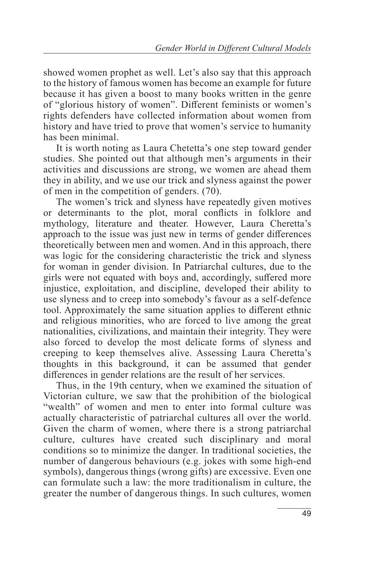showed women prophet as well. Let's also say that this approach to the history of famous women has become an example for future because it has given a boost to many books written in the genre of "glorious history of women". Different feminists or women's rights defenders have collected information about women from history and have tried to prove that women's service to humanity has been minimal.

It is worth noting as Laura Chetetta's one step toward gender studies. She pointed out that although men's arguments in their activities and discussions are strong, we women are ahead them they in ability, and we use our trick and slyness against the power of men in the competition of genders. (70).

The women's trick and slyness have repeatedly given motives or determinants to the plot, moral conflicts in folklore and mythology, literature and theater. However, Laura Cheretta's approach to the issue was just new in terms of gender differences theoretically between men and women. And in this approach, there was logic for the considering characteristic the trick and slyness for woman in gender division. In Patriarchal cultures, due to the girls were not equated with boys and, accordingly, suffered more injustice, exploitation, and discipline, developed their ability to use slyness and to creep into somebody's favour as a self-defence tool. Approximately the same situation applies to different ethnic and religious minorities, who are forced to live among the great nationalities, civilizations, and maintain their integrity. They were also forced to develop the most delicate forms of slyness and creeping to keep themselves alive. Assessing Laura Cheretta's thoughts in this background, it can be assumed that gender differences in gender relations are the result of her services.

Thus, in the 19th century, when we examined the situation of Victorian culture, we saw that the prohibition of the biological "wealth" of women and men to enter into formal culture was actually characteristic of patriarchal cultures all over the world. Given the charm of women, where there is a strong patriarchal culture, cultures have created such disciplinary and moral conditions so to minimize the danger. In traditional societies, the number of dangerous behaviours (e.g. jokes with some high-end symbols), dangerous things (wrong gifts) are excessive. Even one can formulate such a law: the more traditionalism in culture, the greater the number of dangerous things. In such cultures, women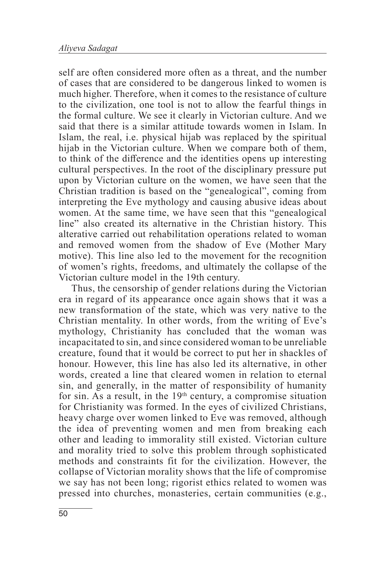self are often considered more often as a threat, and the number of cases that are considered to be dangerous linked to women is much higher. Therefore, when it comes to the resistance of culture to the civilization, one tool is not to allow the fearful things in the formal culture. We see it clearly in Victorian culture. And we said that there is a similar attitude towards women in Islam. In Islam, the real, i.e. physical hijab was replaced by the spiritual hijab in the Victorian culture. When we compare both of them, to think of the difference and the identities opens up interesting cultural perspectives. In the root of the disciplinary pressure put upon by Victorian culture on the women, we have seen that the Christian tradition is based on the "genealogical", coming from interpreting the Eve mythology and causing abusive ideas about women. At the same time, we have seen that this "genealogical line" also created its alternative in the Christian history. This alterative carried out rehabilitation operations related to woman and removed women from the shadow of Eve (Mother Mary motive). This line also led to the movement for the recognition of women's rights, freedoms, and ultimately the collapse of the Victorian culture model in the 19th century.

Thus, the censorship of gender relations during the Victorian era in regard of its appearance once again shows that it was a new transformation of the state, which was very native to the Christian mentality. In other words, from the writing of Eve's mythology, Christianity has concluded that the woman was incapacitated to sin, and since considered woman to be unreliable creature, found that it would be correct to put her in shackles of honour. However, this line has also led its alternative, in other words, created a line that cleared women in relation to eternal sin, and generally, in the matter of responsibility of humanity for sin. As a result, in the  $19<sup>th</sup>$  century, a compromise situation for Christianity was formed. In the eyes of civilized Christians, heavy charge over women linked to Eve was removed, although the idea of preventing women and men from breaking each other and leading to immorality still existed. Victorian culture and morality tried to solve this problem through sophisticated methods and constraints fit for the civilization. However, the collapse of Victorian morality shows that the life of compromise we say has not been long; rigorist ethics related to women was pressed into churches, monasteries, certain communities (e.g.,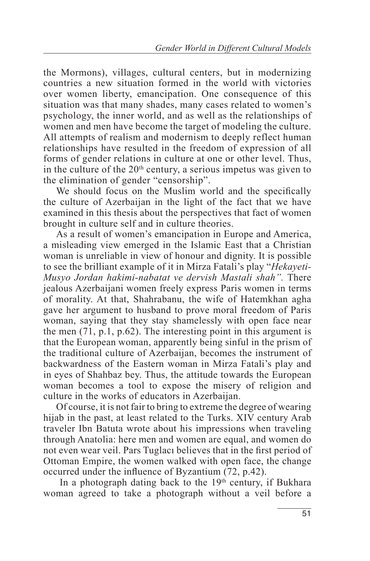the Mormons), villages, cultural centers, but in modernizing countries a new situation formed in the world with victories over women liberty, emancipation. One consequence of this situation was that many shades, many cases related to women's psychology, the inner world, and as well as the relationships of women and men have become the target of modeling the culture. All attempts of realism and modernism to deeply reflect human relationships have resulted in the freedom of expression of all forms of gender relations in culture at one or other level. Thus, in the culture of the  $20<sup>th</sup>$  century, a serious impetus was given to the elimination of gender "censorship".

We should focus on the Muslim world and the specifically the culture of Azerbaijan in the light of the fact that we have examined in this thesis about the perspectives that fact of women brought in culture self and in culture theories.

As a result of women's emancipation in Europe and America, a misleading view emerged in the Islamic East that a Christian woman is unreliable in view of honour and dignity. It is possible to see the brilliant example of it in Mirza Fatali's play "*Hekayeti-Musyo Jordan hakimi-nabatat ve dervish Mastali shah".* There jealous Azerbaijani women freely express Paris women in terms of morality. At that, Shahrabanu, the wife of Hatemkhan agha gave her argument to husband to prove moral freedom of Paris woman, saying that they stay shamelessly with open face near the men (71, p.1, p.62). The interesting point in this argument is that the European woman, apparently being sinful in the prism of the traditional culture of Azerbaijan, becomes the instrument of backwardness of the Eastern woman in Mirza Fatali's play and in eyes of Shahbaz bey. Thus, the attitude towards the European woman becomes a tool to expose the misery of religion and culture in the works of educators in Azerbaijan.

Of course, it is not fair to bring to extreme the degree of wearing hijab in the past, at least related to the Turks. XIV century Arab traveler Ibn Batuta wrote about his impressions when traveling through Anatolia: here men and women are equal, and women do not even wear veil. Pars Tuglacı believes that in the first period of Ottoman Empire, the women walked with open face, the change occurred under the influence of Byzantium (72, p.42).

In a photograph dating back to the  $19<sup>th</sup>$  century, if Bukhara woman agreed to take a photograph without a veil before a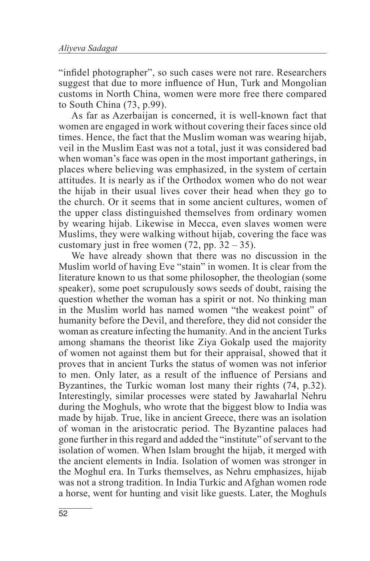"infidel photographer", so such cases were not rare. Researchers suggest that due to more influence of Hun, Turk and Mongolian customs in North China, women were more free there compared to South China (73, p.99).

As far as Azerbaijan is concerned, it is well-known fact that women are engaged in work without covering their faces since old times. Hence, the fact that the Muslim woman was wearing hijab, veil in the Muslim East was not a total, just it was considered bad when woman's face was open in the most important gatherings, in places where believing was emphasized, in the system of certain attitudes. It is nearly as if the Orthodox women who do not wear the hijab in their usual lives cover their head when they go to the church. Or it seems that in some ancient cultures, women of the upper class distinguished themselves from ordinary women by wearing hijab. Likewise in Mecca, even slaves women were Muslims, they were walking without hijab, covering the face was customary just in free women  $(72, pp. 32 – 35)$ .

We have already shown that there was no discussion in the Muslim world of having Eve "stain" in women. It is clear from the literature known to us that some philosopher, the theologian (some speaker), some poet scrupulously sows seeds of doubt, raising the question whether the woman has a spirit or not. No thinking man in the Muslim world has named women "the weakest point" of humanity before the Devil, and therefore, they did not consider the woman as creature infecting the humanity. And in the ancient Turks among shamans the theorist like Ziya Gokalp used the majority of women not against them but for their appraisal, showed that it proves that in ancient Turks the status of women was not inferior to men. Only later, as a result of the influence of Persians and Byzantines, the Turkic woman lost many their rights (74, p.32). Interestingly, similar processes were stated by Jawaharlal Nehru during the Moghuls, who wrote that the biggest blow to India was made by hijab. True, like in ancient Greece, there was an isolation of woman in the aristocratic period. The Byzantine palaces had gone further in this regard and added the "institute" of servant to the isolation of women. When Islam brought the hijab, it merged with the ancient elements in India. Isolation of women was stronger in the Moghul era. In Turks themselves, as Nehru emphasizes, hijab was not a strong tradition. In India Turkic and Afghan women rode a horse, went for hunting and visit like guests. Later, the Moghuls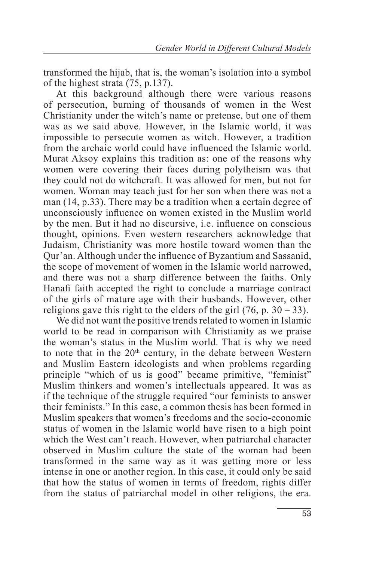transformed the hijab, that is, the woman's isolation into a symbol of the highest strata (75, p.137).

At this background although there were various reasons of persecution, burning of thousands of women in the West Christianity under the witch's name or pretense, but one of them was as we said above. However, in the Islamic world, it was impossible to persecute women as witch. However, a tradition from the archaic world could have influenced the Islamic world. Murat Aksoy explains this tradition as: one of the reasons why women were covering their faces during polytheism was that they could not do witchcraft. It was allowed for men, but not for women. Woman may teach just for her son when there was not a man (14, p.33). There may be a tradition when a certain degree of unconsciously influence on women existed in the Muslim world by the men. But it had no discursive, i.e. influence on conscious thought, opinions. Even western researchers acknowledge that Judaism, Christianity was more hostile toward women than the Qur'an. Although under the influence of Byzantium and Sassanid, the scope of movement of women in the Islamic world narrowed, and there was not a sharp difference between the faiths. Only Hanafi faith accepted the right to conclude a marriage contract of the girls of mature age with their husbands. However, other religions gave this right to the elders of the girl  $(76, p. 30 - 33)$ .

We did not want the positive trends related to women in Islamic world to be read in comparison with Christianity as we praise the woman's status in the Muslim world. That is why we need to note that in the 20<sup>th</sup> century, in the debate between Western and Muslim Eastern ideologists and when problems regarding principle "which of us is good" became primitive, "feminist" Muslim thinkers and women's intellectuals appeared. It was as if the technique of the struggle required "our feminists to answer their feminists." In this case, a common thesis has been formed in Muslim speakers that women's freedoms and the socio-economic status of women in the Islamic world have risen to a high point which the West can't reach. However, when patriarchal character observed in Muslim culture the state of the woman had been transformed in the same way as it was getting more or less intense in one or another region. In this case, it could only be said that how the status of women in terms of freedom, rights differ from the status of patriarchal model in other religions, the era.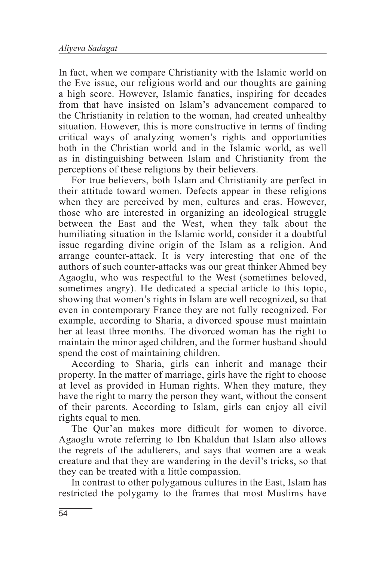In fact, when we compare Christianity with the Islamic world on the Eve issue, our religious world and our thoughts are gaining a high score. However, Islamic fanatics, inspiring for decades from that have insisted on Islam's advancement compared to the Christianity in relation to the woman, had created unhealthy situation. However, this is more constructive in terms of finding critical ways of analyzing women's rights and opportunities both in the Christian world and in the Islamic world, as well as in distinguishing between Islam and Christianity from the perceptions of these religions by their believers.

For true believers, both Islam and Christianity are perfect in their attitude toward women. Defects appear in these religions when they are perceived by men, cultures and eras. However, those who are interested in organizing an ideological struggle between the East and the West, when they talk about the humiliating situation in the Islamic world, consider it a doubtful issue regarding divine origin of the Islam as a religion. And arrange counter-attack. It is very interesting that one of the authors of such counter-attacks was our great thinker Ahmed bey Agaoglu, who was respectful to the West (sometimes beloved, sometimes angry). He dedicated a special article to this topic, showing that women's rights in Islam are well recognized, so that even in contemporary France they are not fully recognized. For example, according to Sharia, a divorced spouse must maintain her at least three months. The divorced woman has the right to maintain the minor aged children, and the former husband should spend the cost of maintaining children.

According to Sharia, girls can inherit and manage their property. In the matter of marriage, girls have the right to choose at level as provided in Human rights. When they mature, they have the right to marry the person they want, without the consent of their parents. According to Islam, girls can enjoy all civil rights equal to men.

The Qur'an makes more difficult for women to divorce. Agaoglu wrote referring to Ibn Khaldun that Islam also allows the regrets of the adulterers, and says that women are a weak creature and that they are wandering in the devil's tricks, so that they can be treated with a little compassion.

In contrast to other polygamous cultures in the East, Islam has restricted the polygamy to the frames that most Muslims have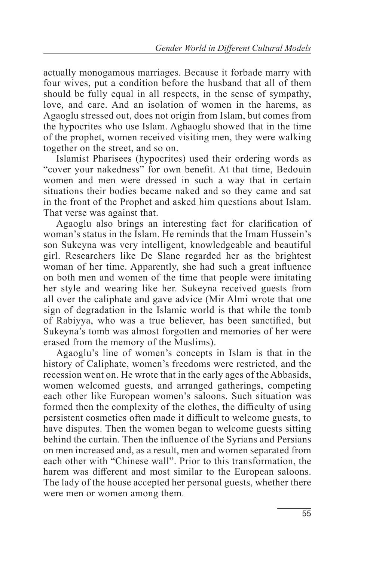actually monogamous marriages. Because it forbade marry with four wives, put a condition before the husband that all of them should be fully equal in all respects, in the sense of sympathy, love, and care. And an isolation of women in the harems, as Agaoglu stressed out, does not origin from Islam, but comes from the hypocrites who use Islam. Aghaoglu showed that in the time of the prophet, women received visiting men, they were walking together on the street, and so on.

Islamist Pharisees (hypocrites) used their ordering words as "cover your nakedness" for own benefit. At that time, Bedouin women and men were dressed in such a way that in certain situations their bodies became naked and so they came and sat in the front of the Prophet and asked him questions about Islam. That verse was against that.

Agaoglu also brings an interesting fact for clarification of woman's status in the Islam. He reminds that the Imam Hussein's son Sukeyna was very intelligent, knowledgeable and beautiful girl. Researchers like De Slane regarded her as the brightest woman of her time. Apparently, she had such a great influence on both men and women of the time that people were imitating her style and wearing like her. Sukeyna received guests from all over the caliphate and gave advice (Mir Almi wrote that one sign of degradation in the Islamic world is that while the tomb of Rabiyya, who was a true believer, has been sanctified, but Sukeyna's tomb was almost forgotten and memories of her were erased from the memory of the Muslims).

Agaoglu's line of women's concepts in Islam is that in the history of Caliphate, women's freedoms were restricted, and the recession went on. He wrote that in the early ages of the Abbasids, women welcomed guests, and arranged gatherings, competing each other like European women's saloons. Such situation was formed then the complexity of the clothes, the difficulty of using persistent cosmetics often made it difficult to welcome guests, to have disputes. Then the women began to welcome guests sitting behind the curtain. Then the influence of the Syrians and Persians on men increased and, as a result, men and women separated from each other with "Chinese wall". Prior to this transformation, the harem was different and most similar to the European saloons. The lady of the house accepted her personal guests, whether there were men or women among them.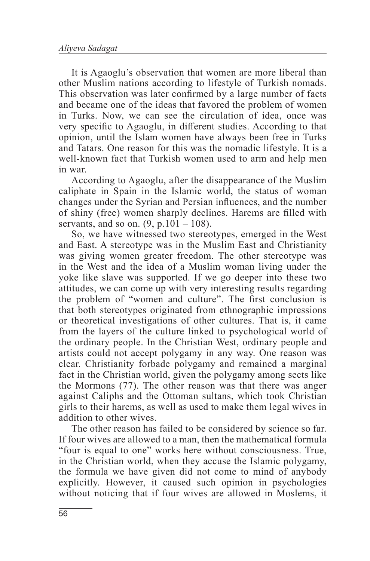It is Agaoglu's observation that women are more liberal than other Muslim nations according to lifestyle of Turkish nomads. This observation was later confirmed by a large number of facts and became one of the ideas that favored the problem of women in Turks. Now, we can see the circulation of idea, once was very specific to Agaoglu, in different studies. According to that opinion, until the Islam women have always been free in Turks and Tatars. One reason for this was the nomadic lifestyle. It is a well-known fact that Turkish women used to arm and help men in war.

According to Agaoglu, after the disappearance of the Muslim caliphate in Spain in the Islamic world, the status of woman changes under the Syrian and Persian influences, and the number of shiny (free) women sharply declines. Harems are filled with servants, and so on.  $(9, p.101 - 108)$ .

So, we have witnessed two stereotypes, emerged in the West and East. A stereotype was in the Muslim East and Christianity was giving women greater freedom. The other stereotype was in the West and the idea of a Muslim woman living under the yoke like slave was supported. If we go deeper into these two attitudes, we can come up with very interesting results regarding the problem of "women and culture". The first conclusion is that both stereotypes originated from ethnographic impressions or theoretical investigations of other cultures. That is, it came from the layers of the culture linked to psychological world of the ordinary people. In the Christian West, ordinary people and artists could not accept polygamy in any way. One reason was clear. Christianity forbade polygamy and remained a marginal fact in the Christian world, given the polygamy among sects like the Mormons (77). The other reason was that there was anger against Caliphs and the Ottoman sultans, which took Christian girls to their harems, as well as used to make them legal wives in addition to other wives.

The other reason has failed to be considered by science so far. If four wives are allowed to a man, then the mathematical formula "four is equal to one" works here without consciousness. True, in the Christian world, when they accuse the Islamic polygamy, the formula we have given did not come to mind of anybody explicitly. However, it caused such opinion in psychologies without noticing that if four wives are allowed in Moslems, it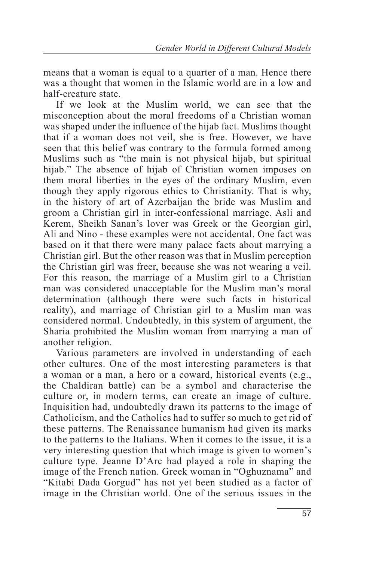means that a woman is equal to a quarter of a man. Hence there was a thought that women in the Islamic world are in a low and half-creature state.

If we look at the Muslim world, we can see that the misconception about the moral freedoms of a Christian woman was shaped under the influence of the hijab fact. Muslims thought that if a woman does not veil, she is free. However, we have seen that this belief was contrary to the formula formed among Muslims such as "the main is not physical hijab, but spiritual hijab." The absence of hijab of Christian women imposes on them moral liberties in the eyes of the ordinary Muslim, even though they apply rigorous ethics to Christianity. That is why, in the history of art of Azerbaijan the bride was Muslim and groom a Christian girl in inter-confessional marriage. Asli and Kerem, Sheikh Sanan's lover was Greek or the Georgian girl, Ali and Nino - these examples were not accidental. One fact was based on it that there were many palace facts about marrying a Christian girl. But the other reason was that in Muslim perception the Christian girl was freer, because she was not wearing a veil. For this reason, the marriage of a Muslim girl to a Christian man was considered unacceptable for the Muslim man's moral determination (although there were such facts in historical reality), and marriage of Christian girl to a Muslim man was considered normal. Undoubtedly, in this system of argument, the Sharia prohibited the Muslim woman from marrying a man of another religion.

Various parameters are involved in understanding of each other cultures. One of the most interesting parameters is that a woman or a man, a hero or a coward, historical events (e.g., the Chaldiran battle) can be a symbol and characterise the culture or, in modern terms, can create an image of culture. Inquisition had, undoubtedly drawn its patterns to the image of Catholicism, and the Catholics had to suffer so much to get rid of these patterns. The Renaissance humanism had given its marks to the patterns to the Italians. When it comes to the issue, it is a very interesting question that which image is given to women's culture type. Jeanne D'Arc had played a role in shaping the image of the French nation. Greek woman in "Oghuznama" and "Kitabi Dada Gorgud" has not yet been studied as a factor of image in the Christian world. One of the serious issues in the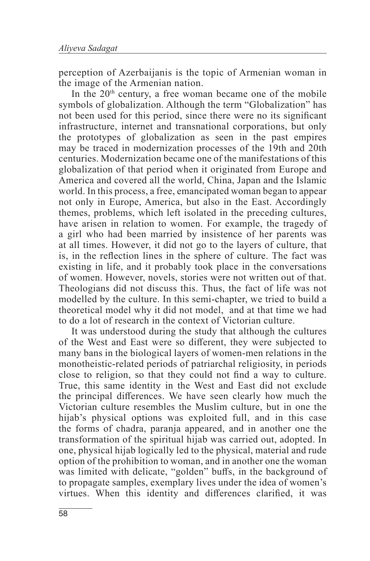perception of Azerbaijanis is the topic of Armenian woman in the image of the Armenian nation.

In the  $20<sup>th</sup>$  century, a free woman became one of the mobile symbols of globalization. Although the term "Globalization" has not been used for this period, since there were no its significant infrastructure, internet and transnational corporations, but only the prototypes of globalization as seen in the past empires may be traced in modernization processes of the 19th and 20th centuries. Modernization became one of the manifestations of this globalization of that period when it originated from Europe and America and covered all the world, China, Japan and the Islamic world. In this process, a free, emancipated woman began to appear not only in Europe, America, but also in the East. Accordingly themes, problems, which left isolated in the preceding cultures, have arisen in relation to women. For example, the tragedy of a girl who had been married by insistence of her parents was at all times. However, it did not go to the layers of culture, that is, in the reflection lines in the sphere of culture. The fact was existing in life, and it probably took place in the conversations of women. However, novels, stories were not written out of that. Theologians did not discuss this. Thus, the fact of life was not modelled by the culture. In this semi-chapter, we tried to build a theoretical model why it did not model, and at that time we had to do a lot of research in the context of Victorian culture.

It was understood during the study that although the cultures of the West and East were so different, they were subjected to many bans in the biological layers of women-men relations in the monotheistic-related periods of patriarchal religiosity, in periods close to religion, so that they could not find a way to culture. True, this same identity in the West and East did not exclude the principal differences. We have seen clearly how much the Victorian culture resembles the Muslim culture, but in one the hijab's physical options was exploited full, and in this case the forms of chadra, paranja appeared, and in another one the transformation of the spiritual hijab was carried out, adopted. In one, physical hijab logically led to the physical, material and rude option of the prohibition to woman, and in another one the woman was limited with delicate, "golden" buffs, in the background of to propagate samples, exemplary lives under the idea of women's virtues. When this identity and differences clarified, it was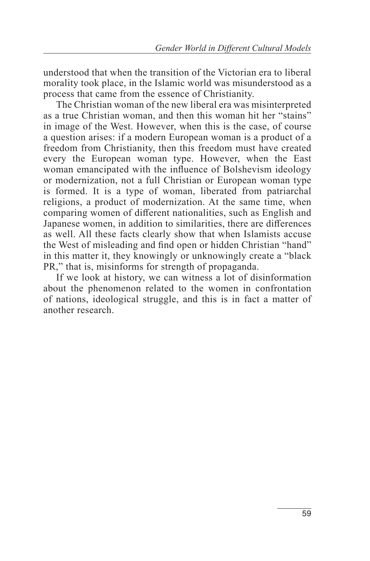understood that when the transition of the Victorian era to liberal morality took place, in the Islamic world was misunderstood as a process that came from the essence of Christianity.

The Christian woman of the new liberal era was misinterpreted as a true Christian woman, and then this woman hit her "stains" in image of the West. However, when this is the case, of course a question arises: if a modern European woman is a product of a freedom from Christianity, then this freedom must have created every the European woman type. However, when the East woman emancipated with the influence of Bolshevism ideology or modernization, not a full Christian or European woman type is formed. It is a type of woman, liberated from patriarchal religions, a product of modernization. At the same time, when comparing women of different nationalities, such as English and Japanese women, in addition to similarities, there are differences as well. All these facts clearly show that when Islamists accuse the West of misleading and find open or hidden Christian "hand" in this matter it, they knowingly or unknowingly create a "black PR," that is, misinforms for strength of propaganda.

If we look at history, we can witness a lot of disinformation about the phenomenon related to the women in confrontation of nations, ideological struggle, and this is in fact a matter of another research.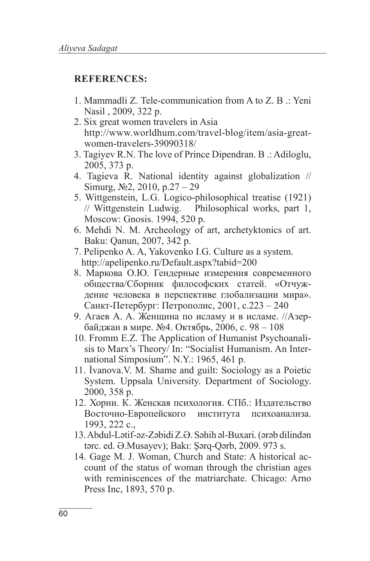#### **REFERENCES:**

- 1. Mammadli Z. Tele-communication from A to Z. B .: Yeni Nasil , 2009, 322 p.
- 2. Six great women travelers in Asia http://www.worldhum.com/travel-blog/item/asia-greatwomen-travelers-39090318/
- 3. Tagiyev R.N. The love of Prince Dipendran. B .: Adiloglu, 2005, 373 p.
- 4. Tagieva R. National identity against globalization // Simurg,  $\mathcal{N} \geq 2, 2010, \text{p}.27 - 29$
- 5. Wittgenstein, L.G. Logico-philosophical treatise (1921) // Wittgenstein Ludwig. Philosophical works, part 1, Moscow: Gnosis. 1994, 520 p.
- 6. Mehdi N. M. Archeology of art, archetyktonics of art. Baku: Qanun, 2007, 342 p.
- 7. Pelipenko A. A, Yakovenko I.G. Culture as a system. http://apelipenko.ru/Default.aspx?tabid=200
- 8. Маркова О.Ю. Гендерные измерения современного общества/Сборник философских статей. «Отчуждение человека в перспективе глобализации мира». Санкт-Петербург: Петрополис, 2001, с.223 – 240
- 9. Агаев А. A. Женщина по исламу и в исламе. //Азербайджан в мире. №4. Октябрь, 2006, с. 98 – 108
- 10. Fromm E.Z. The Application of Humanist Psychoanalisis to Marx's Theory/ In: "Socialist Humanism. An International Simposium". N.Y.: 1965, 461 p.
- 11. İvanova.V. M. Shame and guilt: Sociology as a Poietic System. Uppsala University. Department of Sociology. 2000, 358 p.
- 12. Хорни. К. Женская психология. СПб.: Издательство Восточно-Европейского института психоанализа. 1993, 222 с.,
- 13. Abdul-Lətif-əz-Zəbidi Z.Ə. Səhih əl-Buxari. (ərəb dilindən tərc. ed. Ə.Musayev); Bakı: Şərq-Qərb, 2009. 973 s.
- 14. Gage M. J. Woman, Church and State: A historical account of the status of woman through the christian ages with reminiscences of the matriarchate. Chicago: Arno Press Inc, 1893, 570 p.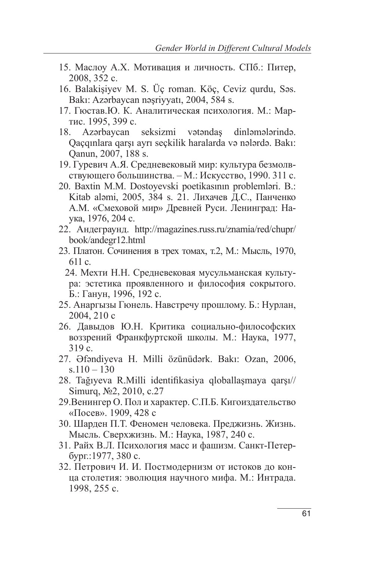- 15. Маслоу A.X. Мотивация и личность. СПб.: Питер, 2008, 352 c.
- 16. Balakişiyev M. S. Üç roman. Köç, Ceviz qurdu, Səs. Bakı: Azərbaycan nəşriyyatı, 2004, 584 s.
- 17. Гюстав.Ю. К. Аналитическая психология. М.: Мартис. 1995, 399 с.
- 18. Azərbaycan seksizmi vətəndaş dinləmələrində. Qaçqınlara qarşı ayrı seçkilik haralarda və nələrdə. Bakı: Qanun, 2007, 188 s.
- 19. Гуревич А.Я. Средневековый мир: культура безмолвствующего большинства. – М.: Искусство, 1990. 311 с.
- 20. Baxtin M.M. Dostoyevski poetikasının problemləri. B.: Kitab aləmi, 2005, 384 s. 21. Лихачев Д.С., Панченко А.М. «Смеховой мир» Древней Руси. Ленинград: Наука, 1976, 204 с.
- 22. Андеграунд. http://magazines.russ.ru/znamia/red/chupr/ book/andegr12.html
- 23. Платон. Сочинения в трех томах, т.2, М.: Мысль, 1970, 611 с.
	- 24. Мехти Н.Н. Средневековая мусульманская культура: эстетика проявленного и философия сокрытого. Б.: Ганун, 1996, 192 с.
- 25. Анаргызы Гюнель. Навстречу прошлому. Б.: Нурлан, 2004, 210 с
- 26. Давыдов Ю.Н. Критика социально-философских воззрений Франкфуртской школы. М.: Наука, 1977, 319 с.
- 27. Əfəndiyeva H. Milli özünüdərk. Bakı: Ozan, 2006,  $s.110 - 130$
- 28. Tağıyeva R.Milli identifikasiya qloballaşmaya qarşı// Simurq, №2, 2010, с.27
- 29.Венингер О. Пол и характер. С.П.Б. Кигоиздательство «Посев». 1909, 428 с
- 30. Шарден П.Т. Феномен человека. Преджизнь. Жизнь. Мысль. Сверхжизнь. М.: Наука, 1987, 240 с.
- 31. Райх В.Л. Психология масс и фашизм. Санкт-Петербург.:1977, 380 с.
- 32. Петрович И. И. Постмодернизм от истоков до конца столетия: эволюция научного мифа. М.: Интрада. 1998, 255 с.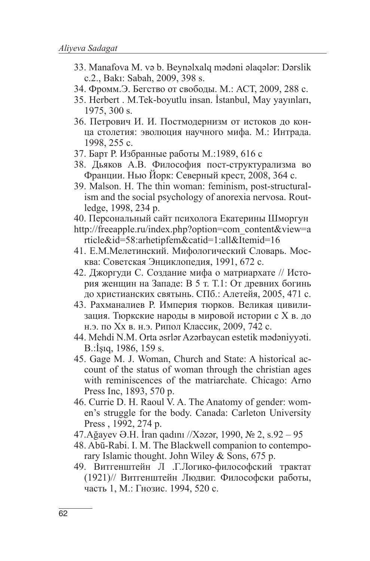- 33. Manafova M. və b. Beynəlxalq mədəni əlaqələr: Dərslik c.2., Bakı: Sabah, 2009, 398 s.
- 34. Фромм.Э. Бегство от свободы. М.: АСТ, 2009, 288 с.
- 35. Herbert . M.Tek-boyutlu insan. İstanbul, May yayınları, 1975, 300 s.
- 36. Петрович И. И. Постмодернизм от истоков до конца столетия: эволюция научного мифа. М.: Интрада. 1998, 255 с.
- 37. Барт Р. Избранные работы М.:1989, 616 с
- 38. Дьяков А.В. Философия пост-структурализма во Франции. Нью Йорк: Северный крест, 2008, 364 с.
- 39. Malson. H. The thin woman: feminism, post-structuralism and the social psychology of anorexia nervosa. Routledge, 1998, 234 p.
- 40. Персональный сайт психолога Екатерины Шморгун
- http://freeapple.ru/index.php?option=com\_content&view=a rticle&id=58:arhetipfem&catid=1:all&Itemid=16
- 41. Е.М.Мелетинский. Мифологический Словарь. Москва: Советская Энциклопедия, 1991, 672 c.
- 42. Джоргуди С. Создание мифа о матриархате // История женщин на Западе: В 5 т. Т.1: От древних богинь до христианских святынь. СПб.: Алетейя, 2005, 471 c.
- 43. Рахманалиев Р. Империя тюрков. Великая цивилизация. Тюркские народы в мировой истории с X в. до н.э. по Xx в. н.э. Рипол Классик, 2009, 742 с.
- 44. Mehdi N.M. Orta əsrlər Azərbaycan estetik mədəniyyəti. B.:İşıq, 1986, 159 s.
- 45. Gage M. J. Woman, Church and State: A historical account of the status of woman through the christian ages with reminiscences of the matriarchate. Chicago: Arno Press Inc, 1893, 570 p.
- 46. Currie D. H. Raoul V. A. The Anatomy of gender: women's struggle for the body. Canada: Carleton University Press , 1992, 274 p.
- 47.Ağayev Ə.H. İran qadını //Xəzər, 1990, № 2, s.92 95
- 48. Abū-Rabi. I. M. The Blackwell companion to contemporary Islamic thought. John Wiley & Sons, 675 p.
- 49. Витгенштейн Л .Г.Логико-философский трактат (1921)// Витгенштейн Людвиг. Философски работы, часть 1, М.: Гнозис. 1994, 520 с.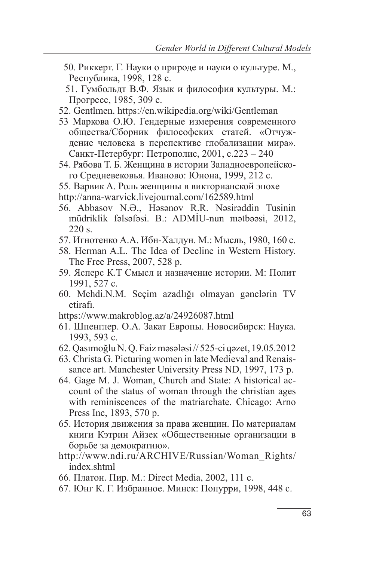50. Риккерт. Г. Науки о природе и науки о культуре. М., Республика, 1998, 128 c.

 51. Гумбольдт В.Ф. Язык и философия культуры. М.: Прогресс, 1985, 309 с.

- 52. Gentlmen. https://en.wikipedia.org/wiki/Gentleman
- 53 Маркова О.Ю. Гендерные измерения современного общества/Сборник философских статей. «Отчуждение человека в перспективе глобализации мира». Санкт-Петербург: Петрополис, 2001, с.223 – 240
- 54. Рябова Т. Б. Женщина в истории Западноевропейского Средневековья. Иваново: Юнона, 1999, 212 c.
- 55. Варвик A. Роль женщины в викторианской эпохе
- http://anna-warvick.livejournal.com/162589.html
- 56. Abbasov N.Ə., Həsənov R.R. Nəsirəddin Tusinin müdriklik fəlsəfəsi. B.: ADMİU-nun mətbəəsi, 2012, 220 s.
- 57. Игнотенко А.А. Ибн-Халдун. М.: Мысль, 1980, 160 с.
- 58. Herman A.L. The Idea of Decline in Western History. The Free Press, 2007, 528 p.
- 59. Ясперс К.Т Смысл и назначение истории. М: Полит 1991, 527 с.
- 60. Mehdi.N.M. Seçim azadlığı olmayan gənclərin TV etirafı.
- https://www.makroblog.az/a/24926087.html
- 61. Шпенглер. O.A. Закат Европы. Новосибирск: Наука. 1993, 593 c.
- 62. Qasımoğlu N. Q. Faiz məsələsi // 525-ci qəzet, 19.05.2012
- 63. Christa G. Picturing women in late Medieval and Renaissance art. Manchester University Press ND, 1997, 173 p.
- 64. Gage M. J. Woman, Church and State: A historical account of the status of woman through the christian ages with reminiscences of the matriarchate. Chicago: Arno Press Inc, 1893, 570 p.
- 65. История движения за права женщин. По материалам книги Кэтрин Айзек «Общественные организации в борьбе за демократию».
- http://www.ndi.ru/ARCHIVE/Russian/Woman\_Rights/ index.shtml
- 66. Платон. Пир. М.: Direct Media, 2002, 111 с.
- 67. Юнг К. Г. Избранное. Минск: Попурри, 1998, 448 с.